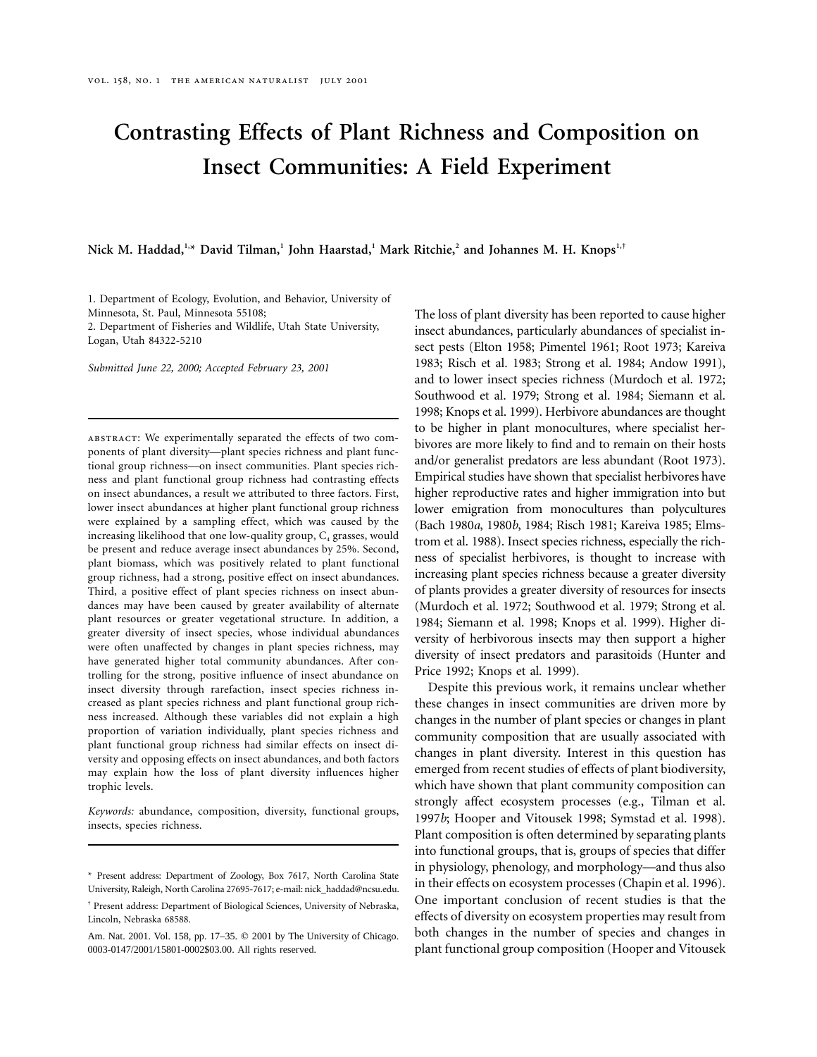# **Contrasting Effects of Plant Richness and Composition on Insect Communities: A Field Experiment**

**Nick M. Haddad,1,\* David Tilman,1 John Haarstad,<sup>1</sup> Mark Ritchie,<sup>2</sup> and Johannes M. H. Knops1,†**

1. Department of Ecology, Evolution, and Behavior, University of Minnesota, St. Paul, Minnesota 55108; 2. Department of Fisheries and Wildlife, Utah State University,

Logan, Utah 84322-5210

*Submitted June 22, 2000; Accepted February 23, 2001*

abstract: We experimentally separated the effects of two components of plant diversity—plant species richness and plant functional group richness—on insect communities. Plant species richness and plant functional group richness had contrasting effects on insect abundances, a result we attributed to three factors. First, lower insect abundances at higher plant functional group richness were explained by a sampling effect, which was caused by the increasing likelihood that one low-quality group,  $C_4$  grasses, would be present and reduce average insect abundances by 25%. Second, plant biomass, which was positively related to plant functional group richness, had a strong, positive effect on insect abundances. Third, a positive effect of plant species richness on insect abundances may have been caused by greater availability of alternate plant resources or greater vegetational structure. In addition, a greater diversity of insect species, whose individual abundances were often unaffected by changes in plant species richness, may have generated higher total community abundances. After controlling for the strong, positive influence of insect abundance on insect diversity through rarefaction, insect species richness increased as plant species richness and plant functional group richness increased. Although these variables did not explain a high proportion of variation individually, plant species richness and plant functional group richness had similar effects on insect diversity and opposing effects on insect abundances, and both factors may explain how the loss of plant diversity influences higher trophic levels.

*Keywords:* abundance, composition, diversity, functional groups, insects, species richness.

The loss of plant diversity has been reported to cause higher insect abundances, particularly abundances of specialist insect pests (Elton 1958; Pimentel 1961; Root 1973; Kareiva 1983; Risch et al. 1983; Strong et al. 1984; Andow 1991), and to lower insect species richness (Murdoch et al. 1972; Southwood et al. 1979; Strong et al. 1984; Siemann et al. 1998; Knops et al. 1999). Herbivore abundances are thought to be higher in plant monocultures, where specialist herbivores are more likely to find and to remain on their hosts and/or generalist predators are less abundant (Root 1973). Empirical studies have shown that specialist herbivores have higher reproductive rates and higher immigration into but lower emigration from monocultures than polycultures (Bach 1980*a*, 1980*b*, 1984; Risch 1981; Kareiva 1985; Elmstrom et al. 1988). Insect species richness, especially the richness of specialist herbivores, is thought to increase with increasing plant species richness because a greater diversity of plants provides a greater diversity of resources for insects (Murdoch et al. 1972; Southwood et al. 1979; Strong et al. 1984; Siemann et al. 1998; Knops et al. 1999). Higher diversity of herbivorous insects may then support a higher diversity of insect predators and parasitoids (Hunter and Price 1992; Knops et al. 1999).

Despite this previous work, it remains unclear whether these changes in insect communities are driven more by changes in the number of plant species or changes in plant community composition that are usually associated with changes in plant diversity. Interest in this question has emerged from recent studies of effects of plant biodiversity, which have shown that plant community composition can strongly affect ecosystem processes (e.g., Tilman et al. 1997*b*; Hooper and Vitousek 1998; Symstad et al. 1998). Plant composition is often determined by separating plants into functional groups, that is, groups of species that differ in physiology, phenology, and morphology—and thus also in their effects on ecosystem processes (Chapin et al. 1996). One important conclusion of recent studies is that the effects of diversity on ecosystem properties may result from both changes in the number of species and changes in plant functional group composition (Hooper and Vitousek

<sup>\*</sup> Present address: Department of Zoology, Box 7617, North Carolina State University, Raleigh, North Carolina 27695-7617; e-mail: nick\_haddad@ncsu.edu.

<sup>†</sup> Present address: Department of Biological Sciences, University of Nebraska, Lincoln, Nebraska 68588.

Am. Nat. 2001. Vol. 158, pp. 17-35.  $\oslash$  2001 by The University of Chicago. 0003-0147/2001/15801-0002\$03.00. All rights reserved.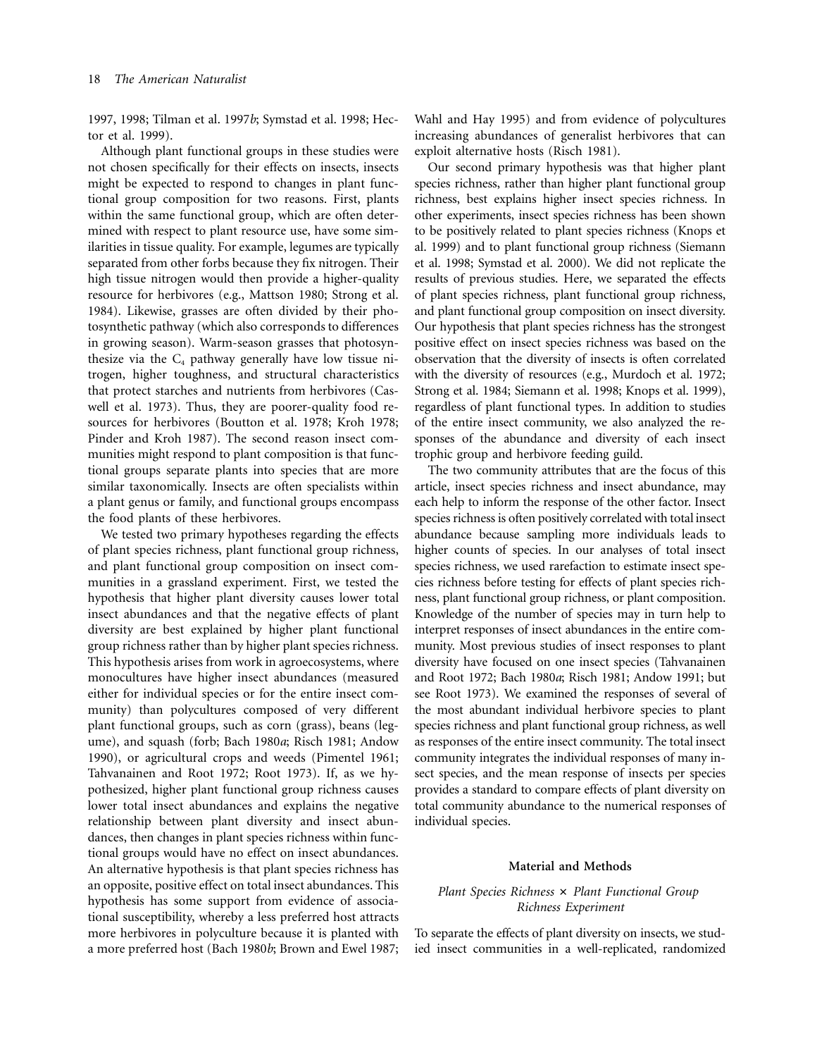1997, 1998; Tilman et al. 1997*b*; Symstad et al. 1998; Hector et al. 1999).

Although plant functional groups in these studies were not chosen specifically for their effects on insects, insects might be expected to respond to changes in plant functional group composition for two reasons. First, plants within the same functional group, which are often determined with respect to plant resource use, have some similarities in tissue quality. For example, legumes are typically separated from other forbs because they fix nitrogen. Their high tissue nitrogen would then provide a higher-quality resource for herbivores (e.g., Mattson 1980; Strong et al. 1984). Likewise, grasses are often divided by their photosynthetic pathway (which also corresponds to differences in growing season). Warm-season grasses that photosynthesize via the  $C_4$  pathway generally have low tissue nitrogen, higher toughness, and structural characteristics that protect starches and nutrients from herbivores (Caswell et al. 1973). Thus, they are poorer-quality food resources for herbivores (Boutton et al. 1978; Kroh 1978; Pinder and Kroh 1987). The second reason insect communities might respond to plant composition is that functional groups separate plants into species that are more similar taxonomically. Insects are often specialists within a plant genus or family, and functional groups encompass the food plants of these herbivores.

We tested two primary hypotheses regarding the effects of plant species richness, plant functional group richness, and plant functional group composition on insect communities in a grassland experiment. First, we tested the hypothesis that higher plant diversity causes lower total insect abundances and that the negative effects of plant diversity are best explained by higher plant functional group richness rather than by higher plant species richness. This hypothesis arises from work in agroecosystems, where monocultures have higher insect abundances (measured either for individual species or for the entire insect community) than polycultures composed of very different plant functional groups, such as corn (grass), beans (legume), and squash (forb; Bach 1980*a*; Risch 1981; Andow 1990), or agricultural crops and weeds (Pimentel 1961; Tahvanainen and Root 1972; Root 1973). If, as we hypothesized, higher plant functional group richness causes lower total insect abundances and explains the negative relationship between plant diversity and insect abundances, then changes in plant species richness within functional groups would have no effect on insect abundances. An alternative hypothesis is that plant species richness has an opposite, positive effect on total insect abundances. This hypothesis has some support from evidence of associational susceptibility, whereby a less preferred host attracts more herbivores in polyculture because it is planted with a more preferred host (Bach 1980*b*; Brown and Ewel 1987;

Wahl and Hay 1995) and from evidence of polycultures increasing abundances of generalist herbivores that can exploit alternative hosts (Risch 1981).

Our second primary hypothesis was that higher plant species richness, rather than higher plant functional group richness, best explains higher insect species richness. In other experiments, insect species richness has been shown to be positively related to plant species richness (Knops et al. 1999) and to plant functional group richness (Siemann et al. 1998; Symstad et al. 2000). We did not replicate the results of previous studies. Here, we separated the effects of plant species richness, plant functional group richness, and plant functional group composition on insect diversity. Our hypothesis that plant species richness has the strongest positive effect on insect species richness was based on the observation that the diversity of insects is often correlated with the diversity of resources (e.g., Murdoch et al. 1972; Strong et al. 1984; Siemann et al. 1998; Knops et al. 1999), regardless of plant functional types. In addition to studies of the entire insect community, we also analyzed the responses of the abundance and diversity of each insect trophic group and herbivore feeding guild.

The two community attributes that are the focus of this article, insect species richness and insect abundance, may each help to inform the response of the other factor. Insect species richness is often positively correlated with total insect abundance because sampling more individuals leads to higher counts of species. In our analyses of total insect species richness, we used rarefaction to estimate insect species richness before testing for effects of plant species richness, plant functional group richness, or plant composition. Knowledge of the number of species may in turn help to interpret responses of insect abundances in the entire community. Most previous studies of insect responses to plant diversity have focused on one insect species (Tahvanainen and Root 1972; Bach 1980*a*; Risch 1981; Andow 1991; but see Root 1973). We examined the responses of several of the most abundant individual herbivore species to plant species richness and plant functional group richness, as well as responses of the entire insect community. The total insect community integrates the individual responses of many insect species, and the mean response of insects per species provides a standard to compare effects of plant diversity on total community abundance to the numerical responses of individual species.

### **Material and Methods**

# *Plant Species Richness*  $\times$  *Plant Functional Group Richness Experiment*

To separate the effects of plant diversity on insects, we studied insect communities in a well-replicated, randomized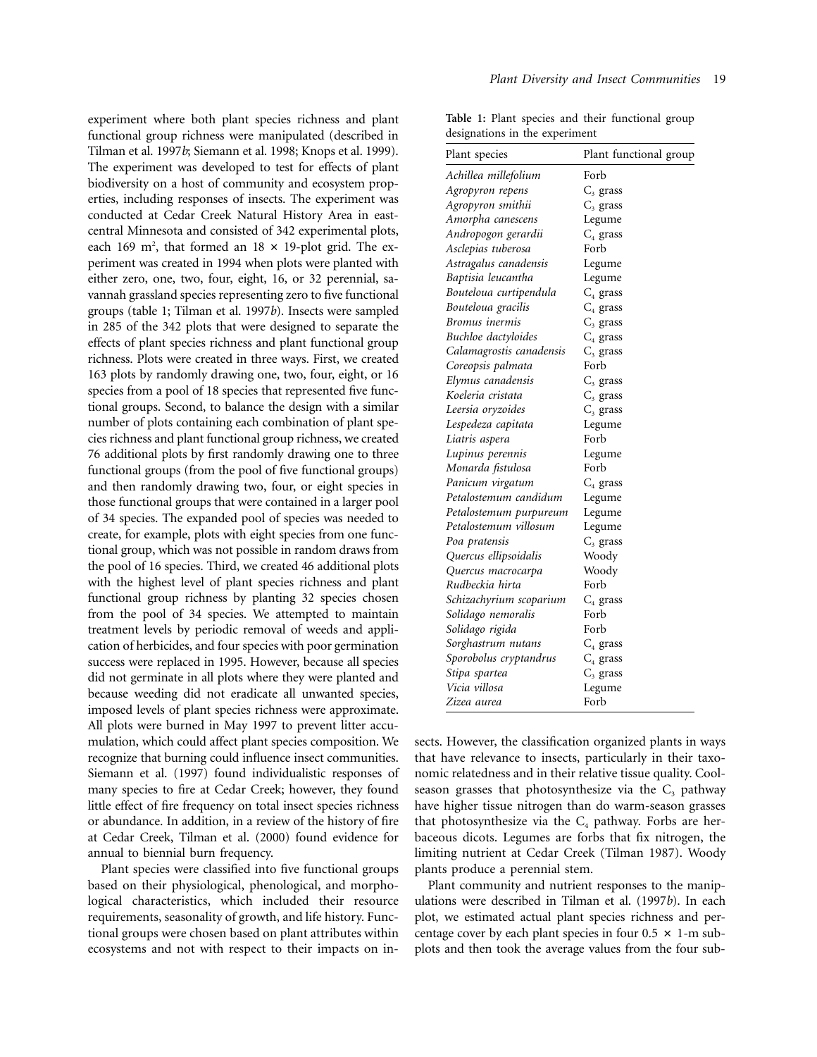experiment where both plant species richness and plant functional group richness were manipulated (described in Tilman et al. 1997*b*; Siemann et al. 1998; Knops et al. 1999). The experiment was developed to test for effects of plant biodiversity on a host of community and ecosystem properties, including responses of insects. The experiment was conducted at Cedar Creek Natural History Area in eastcentral Minnesota and consisted of 342 experimental plots, each 169 m<sup>2</sup>, that formed an  $18 \times 19$ -plot grid. The experiment was created in 1994 when plots were planted with either zero, one, two, four, eight, 16, or 32 perennial, savannah grassland species representing zero to five functional groups (table 1; Tilman et al. 1997*b*). Insects were sampled in 285 of the 342 plots that were designed to separate the effects of plant species richness and plant functional group richness. Plots were created in three ways. First, we created 163 plots by randomly drawing one, two, four, eight, or 16 species from a pool of 18 species that represented five functional groups. Second, to balance the design with a similar number of plots containing each combination of plant species richness and plant functional group richness, we created 76 additional plots by first randomly drawing one to three functional groups (from the pool of five functional groups) and then randomly drawing two, four, or eight species in those functional groups that were contained in a larger pool of 34 species. The expanded pool of species was needed to create, for example, plots with eight species from one functional group, which was not possible in random draws from the pool of 16 species. Third, we created 46 additional plots with the highest level of plant species richness and plant functional group richness by planting 32 species chosen from the pool of 34 species. We attempted to maintain treatment levels by periodic removal of weeds and application of herbicides, and four species with poor germination success were replaced in 1995. However, because all species did not germinate in all plots where they were planted and because weeding did not eradicate all unwanted species, imposed levels of plant species richness were approximate. All plots were burned in May 1997 to prevent litter accumulation, which could affect plant species composition. We recognize that burning could influence insect communities. Siemann et al. (1997) found individualistic responses of many species to fire at Cedar Creek; however, they found little effect of fire frequency on total insect species richness or abundance. In addition, in a review of the history of fire at Cedar Creek, Tilman et al. (2000) found evidence for annual to biennial burn frequency.

Plant species were classified into five functional groups based on their physiological, phenological, and morphological characteristics, which included their resource requirements, seasonality of growth, and life history. Functional groups were chosen based on plant attributes within ecosystems and not with respect to their impacts on in**Table 1:** Plant species and their functional group designations in the experiment

| Plant species            | Plant functional group |
|--------------------------|------------------------|
| Achillea millefolium     | Forb                   |
| Agropyron repens         | $C_3$ grass            |
| Agropyron smithii        | $C_3$ grass            |
| Amorpha canescens        | Legume                 |
| Andropogon gerardii      | $C_4$ grass            |
| Asclepias tuberosa       | Forb                   |
| Astragalus canadensis    | Legume                 |
| Baptisia leucantha       | Legume                 |
| Bouteloua curtipendula   | $C_4$ grass            |
| Bouteloua gracilis       | $\mathrm{C}_4$ grass   |
| Bromus inermis           | $C_3$ grass            |
| Buchloe dactyloides      | $C_4$ grass            |
| Calamagrostis canadensis | $C_3$ grass            |
| Coreopsis palmata        | Forb                   |
| Elymus canadensis        | $C_3$ grass            |
| Koeleria cristata        | $C3$ grass             |
| Leersia oryzoides        | $C3$ grass             |
| Lespedeza capitata       | Legume                 |
| Liatris aspera           | Forb                   |
| Lupinus perennis         | Legume                 |
| Monarda fistulosa        | Forb                   |
| Panicum virgatum         | $C_4$ grass            |
| Petalostemum candidum    | Legume                 |
| Petalostemum purpureum   | Legume                 |
| Petalostemum villosum    | Legume                 |
| Poa pratensis            | $C_3$ grass            |
| Quercus ellipsoidalis    | Woody                  |
| Quercus macrocarpa       | Woody                  |
| Rudbeckia hirta          | Forb                   |
| Schizachyrium scoparium  | $C_4$ grass            |
| Solidago nemoralis       | Forb                   |
| Solidago rigida          | Forb                   |
| Sorghastrum nutans       | $C_4$ grass            |
| Sporobolus cryptandrus   | $C_4$ grass            |
| Stipa spartea            | $C_3$ grass            |
| Vicia villosa            | Legume                 |
| Zizea aurea              | Forb                   |
|                          |                        |

sects. However, the classification organized plants in ways that have relevance to insects, particularly in their taxonomic relatedness and in their relative tissue quality. Coolseason grasses that photosynthesize via the  $C_3$  pathway have higher tissue nitrogen than do warm-season grasses that photosynthesize via the  $C_4$  pathway. Forbs are herbaceous dicots. Legumes are forbs that fix nitrogen, the limiting nutrient at Cedar Creek (Tilman 1987). Woody plants produce a perennial stem.

Plant community and nutrient responses to the manipulations were described in Tilman et al. (1997*b*). In each plot, we estimated actual plant species richness and percentage cover by each plant species in four  $0.5 \times 1$ -m subplots and then took the average values from the four sub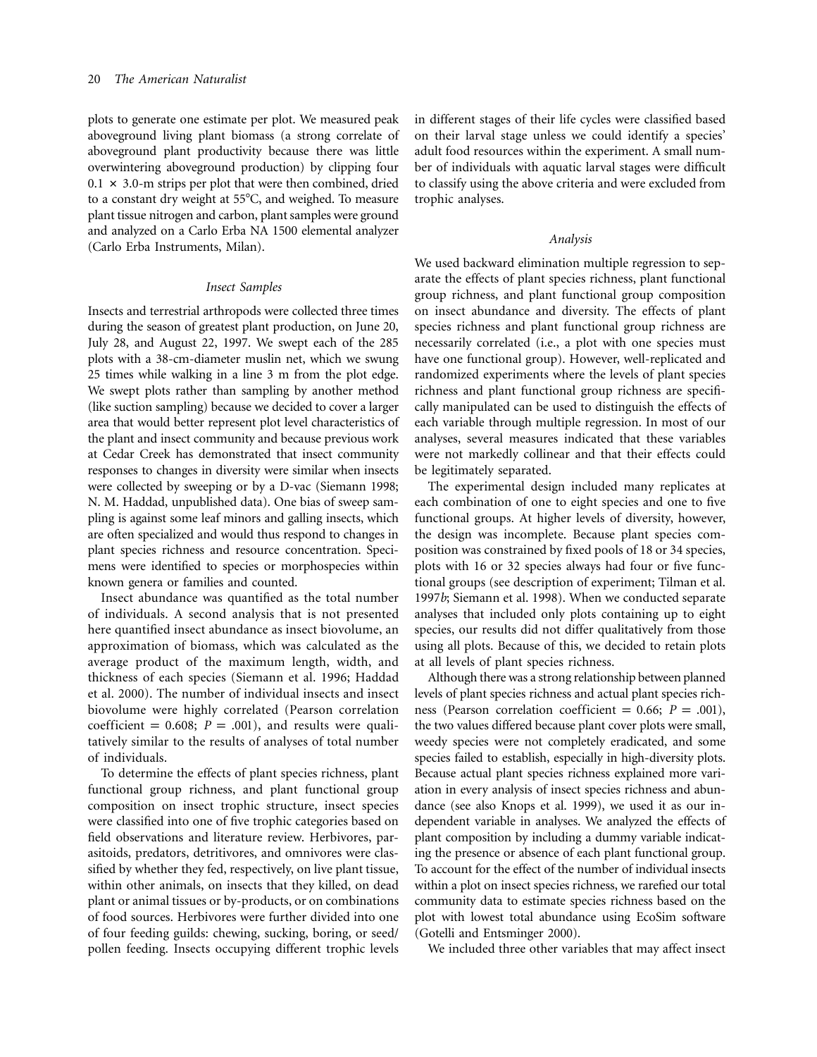plots to generate one estimate per plot. We measured peak aboveground living plant biomass (a strong correlate of aboveground plant productivity because there was little overwintering aboveground production) by clipping four  $0.1 \times 3.0$ -m strips per plot that were then combined, dried to a constant dry weight at 55°C, and weighed. To measure plant tissue nitrogen and carbon, plant samples were ground and analyzed on a Carlo Erba NA 1500 elemental analyzer (Carlo Erba Instruments, Milan).

### *Insect Samples*

Insects and terrestrial arthropods were collected three times during the season of greatest plant production, on June 20, July 28, and August 22, 1997. We swept each of the 285 plots with a 38-cm-diameter muslin net, which we swung 25 times while walking in a line 3 m from the plot edge. We swept plots rather than sampling by another method (like suction sampling) because we decided to cover a larger area that would better represent plot level characteristics of the plant and insect community and because previous work at Cedar Creek has demonstrated that insect community responses to changes in diversity were similar when insects were collected by sweeping or by a D-vac (Siemann 1998; N. M. Haddad, unpublished data). One bias of sweep sampling is against some leaf minors and galling insects, which are often specialized and would thus respond to changes in plant species richness and resource concentration. Specimens were identified to species or morphospecies within known genera or families and counted.

Insect abundance was quantified as the total number of individuals. A second analysis that is not presented here quantified insect abundance as insect biovolume, an approximation of biomass, which was calculated as the average product of the maximum length, width, and thickness of each species (Siemann et al. 1996; Haddad et al. 2000). The number of individual insects and insect biovolume were highly correlated (Pearson correlation coefficient = 0.608;  $P = .001$ ), and results were qualitatively similar to the results of analyses of total number of individuals.

To determine the effects of plant species richness, plant functional group richness, and plant functional group composition on insect trophic structure, insect species were classified into one of five trophic categories based on field observations and literature review. Herbivores, parasitoids, predators, detritivores, and omnivores were classified by whether they fed, respectively, on live plant tissue, within other animals, on insects that they killed, on dead plant or animal tissues or by-products, or on combinations of food sources. Herbivores were further divided into one of four feeding guilds: chewing, sucking, boring, or seed/ pollen feeding. Insects occupying different trophic levels in different stages of their life cycles were classified based on their larval stage unless we could identify a species' adult food resources within the experiment. A small number of individuals with aquatic larval stages were difficult to classify using the above criteria and were excluded from trophic analyses.

#### *Analysis*

We used backward elimination multiple regression to separate the effects of plant species richness, plant functional group richness, and plant functional group composition on insect abundance and diversity. The effects of plant species richness and plant functional group richness are necessarily correlated (i.e., a plot with one species must have one functional group). However, well-replicated and randomized experiments where the levels of plant species richness and plant functional group richness are specifically manipulated can be used to distinguish the effects of each variable through multiple regression. In most of our analyses, several measures indicated that these variables were not markedly collinear and that their effects could be legitimately separated.

The experimental design included many replicates at each combination of one to eight species and one to five functional groups. At higher levels of diversity, however, the design was incomplete. Because plant species composition was constrained by fixed pools of 18 or 34 species, plots with 16 or 32 species always had four or five functional groups (see description of experiment; Tilman et al. 1997*b*; Siemann et al. 1998). When we conducted separate analyses that included only plots containing up to eight species, our results did not differ qualitatively from those using all plots. Because of this, we decided to retain plots at all levels of plant species richness.

Although there was a strong relationship between planned levels of plant species richness and actual plant species richness (Pearson correlation coefficient  $= 0.66; P = .001$ ), the two values differed because plant cover plots were small, weedy species were not completely eradicated, and some species failed to establish, especially in high-diversity plots. Because actual plant species richness explained more variation in every analysis of insect species richness and abundance (see also Knops et al. 1999), we used it as our independent variable in analyses. We analyzed the effects of plant composition by including a dummy variable indicating the presence or absence of each plant functional group. To account for the effect of the number of individual insects within a plot on insect species richness, we rarefied our total community data to estimate species richness based on the plot with lowest total abundance using EcoSim software (Gotelli and Entsminger 2000).

We included three other variables that may affect insect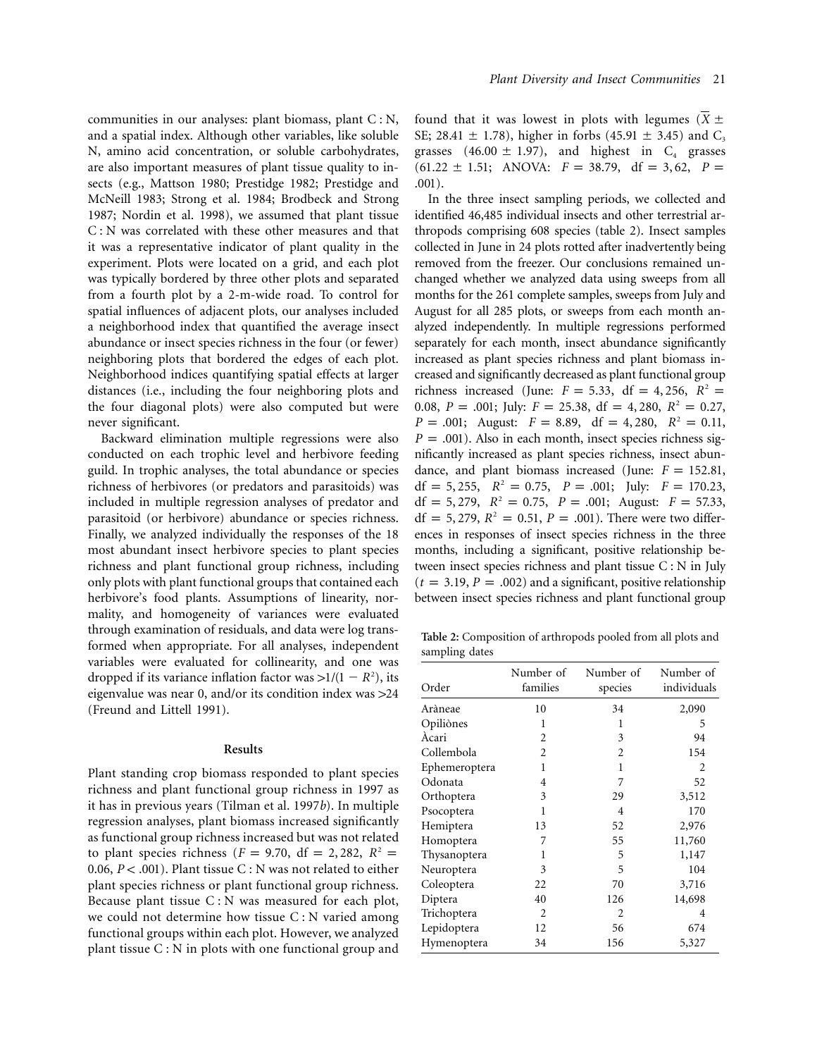communities in our analyses: plant biomass, plant  $C : N$ , and a spatial index. Although other variables, like soluble N, amino acid concentration, or soluble carbohydrates, are also important measures of plant tissue quality to insects (e.g., Mattson 1980; Prestidge 1982; Prestidge and McNeill 1983; Strong et al. 1984; Brodbeck and Strong 1987; Nordin et al. 1998), we assumed that plant tissue C : N was correlated with these other measures and that it was a representative indicator of plant quality in the experiment. Plots were located on a grid, and each plot was typically bordered by three other plots and separated from a fourth plot by a 2-m-wide road. To control for spatial influences of adjacent plots, our analyses included a neighborhood index that quantified the average insect abundance or insect species richness in the four (or fewer) neighboring plots that bordered the edges of each plot. Neighborhood indices quantifying spatial effects at larger distances (i.e., including the four neighboring plots and the four diagonal plots) were also computed but were never significant.

Backward elimination multiple regressions were also conducted on each trophic level and herbivore feeding guild. In trophic analyses, the total abundance or species richness of herbivores (or predators and parasitoids) was included in multiple regression analyses of predator and parasitoid (or herbivore) abundance or species richness. Finally, we analyzed individually the responses of the 18 most abundant insect herbivore species to plant species richness and plant functional group richness, including only plots with plant functional groups that contained each herbivore's food plants. Assumptions of linearity, normality, and homogeneity of variances were evaluated through examination of residuals, and data were log transformed when appropriate. For all analyses, independent variables were evaluated for collinearity, and one was dropped if its variance inflation factor was  $>1/(1 - R^2)$ , its eigenvalue was near 0, and/or its condition index was  $>24$ (Freund and Littell 1991).

## **Results**

Plant standing crop biomass responded to plant species richness and plant functional group richness in 1997 as it has in previous years (Tilman et al. 1997*b*). In multiple regression analyses, plant biomass increased significantly as functional group richness increased but was not related to plant species richness ( $F = 9.70$ , df = 2, 282,  $R^2 =$ 0.06,  $P < .001$ ). Plant tissue C : N was not related to either plant species richness or plant functional group richness. Because plant tissue C : N was measured for each plot, we could not determine how tissue C : N varied among functional groups within each plot. However, we analyzed plant tissue C : N in plots with one functional group and found that it was lowest in plots with legumes  $(X \pm$ SE; 28.41  $\pm$  1.78), higher in forbs (45.91  $\pm$  3.45) and C<sub>3</sub> grasses  $(46.00 \pm 1.97)$ , and highest in C<sub>4</sub> grasses  $(61.22 \pm 1.51; ANOVA: F = 38.79, df = 3, 62, P =$ .001).

In the three insect sampling periods, we collected and identified 46,485 individual insects and other terrestrial arthropods comprising 608 species (table 2). Insect samples collected in June in 24 plots rotted after inadvertently being removed from the freezer. Our conclusions remained unchanged whether we analyzed data using sweeps from all months for the 261 complete samples, sweeps from July and August for all 285 plots, or sweeps from each month analyzed independently. In multiple regressions performed separately for each month, insect abundance significantly increased as plant species richness and plant biomass increased and significantly decreased as plant functional group richness increased (June:  $F = 5.33$ , df = 4, 256,  $R^2$  = 0.08,  $P = .001$ ; July:  $F = 25.38$ , df = 4, 280,  $R^2 = 0.27$ ,  $P = .001$ ; August:  $F = 8.89$ , df = 4, 280,  $R^2 = 0.11$ ,  $P = .001$ ). Also in each month, insect species richness significantly increased as plant species richness, insect abundance, and plant biomass increased (June:  $F = 152.81$ ,  $df = 5,255$ ,  $R^2 = 0.75$ ,  $P = .001$ ; July:  $F = 170.23$ ,  $df = 5,279, R<sup>2</sup> = 0.75, P = .001; August: F = 57.33,$  $df = 5,279, R^2 = 0.51, P = .001$ . There were two differences in responses of insect species richness in the three months, including a significant, positive relationship between insect species richness and plant tissue C : N in July  $(t = 3.19, P = .002)$  and a significant, positive relationship between insect species richness and plant functional group

**Table 2:** Composition of arthropods pooled from all plots and sampling dates

| Order         | Number of<br>families       | Number of<br>species | Number of<br>individuals |
|---------------|-----------------------------|----------------------|--------------------------|
| Aràneae       | 10                          | 34                   | 2,090                    |
| Opiliònes     | 1                           | 1                    | 5                        |
| Àcari         | $\mathcal{D}_{\mathcal{L}}$ | 3                    | 94                       |
| Collembola    | $\overline{c}$              | 2                    | 154                      |
| Ephemeroptera | 1                           | 1                    | 2                        |
| Odonata       | 4                           | 7                    | 52                       |
| Orthoptera    | 3                           | 29                   | 3,512                    |
| Psocoptera    | 1                           | 4                    | 170                      |
| Hemiptera     | 13                          | 52                   | 2,976                    |
| Homoptera     | 7                           | 55                   | 11,760                   |
| Thysanoptera  | 1                           | 5                    | 1,147                    |
| Neuroptera    | 3                           | 5                    | 104                      |
| Coleoptera    | 22                          | 70                   | 3,716                    |
| Diptera       | 40                          | 126                  | 14,698                   |
| Trichoptera   | $\overline{2}$              | 2                    | 4                        |
| Lepidoptera   | 12                          | 56                   | 674                      |
| Hymenoptera   | 34                          | 156                  | 5,327                    |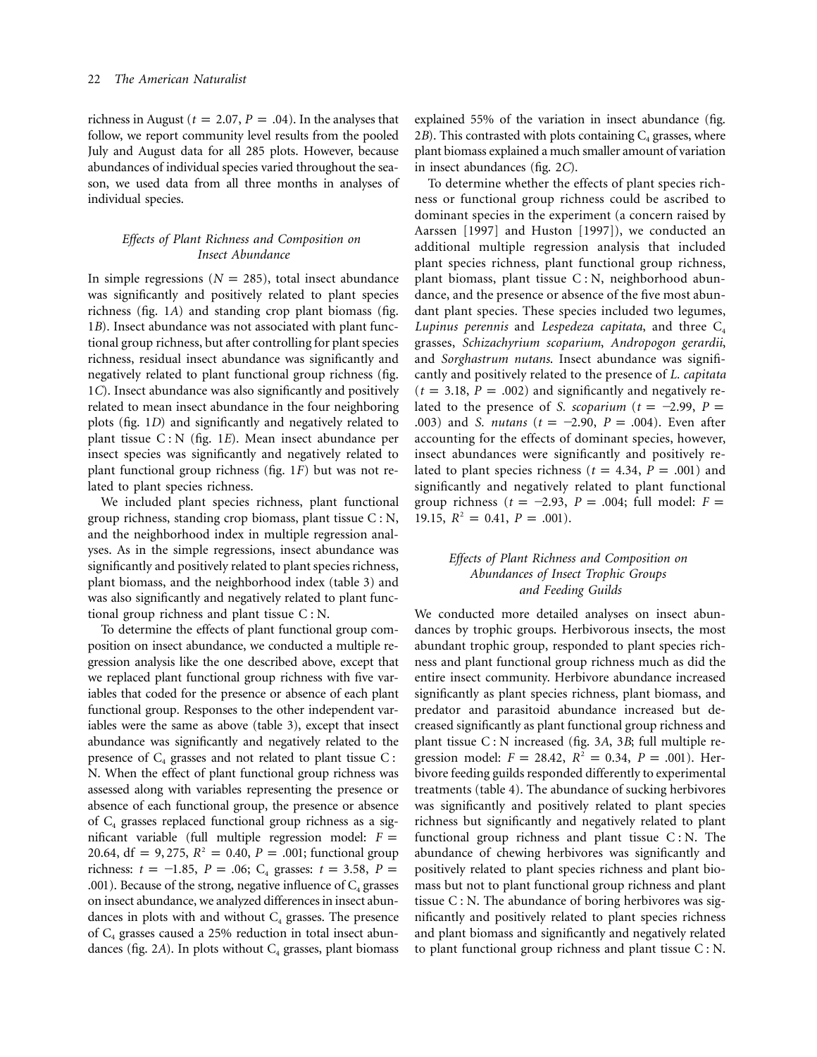richness in August ( $t = 2.07$ ,  $P = .04$ ). In the analyses that follow, we report community level results from the pooled July and August data for all 285 plots. However, because abundances of individual species varied throughout the season, we used data from all three months in analyses of individual species.

# *Effects of Plant Richness and Composition on Insect Abundance*

In simple regressions ( $N = 285$ ), total insect abundance was significantly and positively related to plant species richness (fig. 1*A*) and standing crop plant biomass (fig. 1*B*). Insect abundance was not associated with plant functional group richness, but after controlling for plant species richness, residual insect abundance was significantly and negatively related to plant functional group richness (fig. 1*C*). Insect abundance was also significantly and positively related to mean insect abundance in the four neighboring plots (fig. 1*D*) and significantly and negatively related to plant tissue C : N (fig. 1*E*). Mean insect abundance per insect species was significantly and negatively related to plant functional group richness (fig. 1*F*) but was not related to plant species richness.

We included plant species richness, plant functional group richness, standing crop biomass, plant tissue C : N, and the neighborhood index in multiple regression analyses. As in the simple regressions, insect abundance was significantly and positively related to plant species richness, plant biomass, and the neighborhood index (table 3) and was also significantly and negatively related to plant functional group richness and plant tissue C : N.

To determine the effects of plant functional group composition on insect abundance, we conducted a multiple regression analysis like the one described above, except that we replaced plant functional group richness with five variables that coded for the presence or absence of each plant functional group. Responses to the other independent variables were the same as above (table 3), except that insect abundance was significantly and negatively related to the presence of  $C_4$  grasses and not related to plant tissue C : N. When the effect of plant functional group richness was assessed along with variables representing the presence or absence of each functional group, the presence or absence of  $C_4$  grasses replaced functional group richness as a significant variable (full multiple regression model:  $F =$ 20.64,  $df = 9,275$ ,  $R^2 = 0.40$ ,  $P = .001$ ; functional group richness:  $t = -1.85$ ,  $P = .06$ ;  $C_4$  grasses:  $t = 3.58$ ,  $P =$ .001). Because of the strong, negative influence of  $C_4$  grasses on insect abundance, we analyzed differences in insect abundances in plots with and without  $C_4$  grasses. The presence of  $C_4$  grasses caused a 25% reduction in total insect abundances (fig.  $2A$ ). In plots without  $C_4$  grasses, plant biomass

explained 55% of the variation in insect abundance (fig. 2*B*). This contrasted with plots containing  $C_4$  grasses, where plant biomass explained a much smaller amount of variation in insect abundances (fig. 2*C*).

To determine whether the effects of plant species richness or functional group richness could be ascribed to dominant species in the experiment (a concern raised by Aarssen [1997] and Huston [1997]), we conducted an additional multiple regression analysis that included plant species richness, plant functional group richness, plant biomass, plant tissue C : N, neighborhood abundance, and the presence or absence of the five most abundant plant species. These species included two legumes, *Lupinus perennis* and *Lespedeza capitata*, and three  $C_4$ grasses, *Schizachyrium scoparium*, *Andropogon gerardii*, and *Sorghastrum nutans*. Insect abundance was significantly and positively related to the presence of *L. capitata*  $(t = 3.18, P = .002)$  and significantly and negatively related to the presence of *S. scoparium* ( $t = -2.99$ ,  $P =$ .003) and *S. nutans* ( $t = -2.90$ ,  $P = .004$ ). Even after accounting for the effects of dominant species, however, insect abundances were significantly and positively related to plant species richness ( $t = 4.34$ ,  $P = .001$ ) and significantly and negatively related to plant functional group richness ( $t = -2.93$ ,  $P = .004$ ; full model:  $F =$ 19.15,  $R^2 = 0.41$ ,  $P = .001$ ).

# *Effects of Plant Richness and Composition on Abundances of Insect Trophic Groups and Feeding Guilds*

We conducted more detailed analyses on insect abundances by trophic groups. Herbivorous insects, the most abundant trophic group, responded to plant species richness and plant functional group richness much as did the entire insect community. Herbivore abundance increased significantly as plant species richness, plant biomass, and predator and parasitoid abundance increased but decreased significantly as plant functional group richness and plant tissue C : N increased (fig. 3*A*, 3*B*; full multiple regression model:  $F = 28.42$ ,  $R^2 = 0.34$ ,  $P = .001$ ). Herbivore feeding guilds responded differently to experimental treatments (table 4). The abundance of sucking herbivores was significantly and positively related to plant species richness but significantly and negatively related to plant functional group richness and plant tissue  $C : N$ . The abundance of chewing herbivores was significantly and positively related to plant species richness and plant biomass but not to plant functional group richness and plant tissue  $C : N$ . The abundance of boring herbivores was significantly and positively related to plant species richness and plant biomass and significantly and negatively related to plant functional group richness and plant tissue C : N.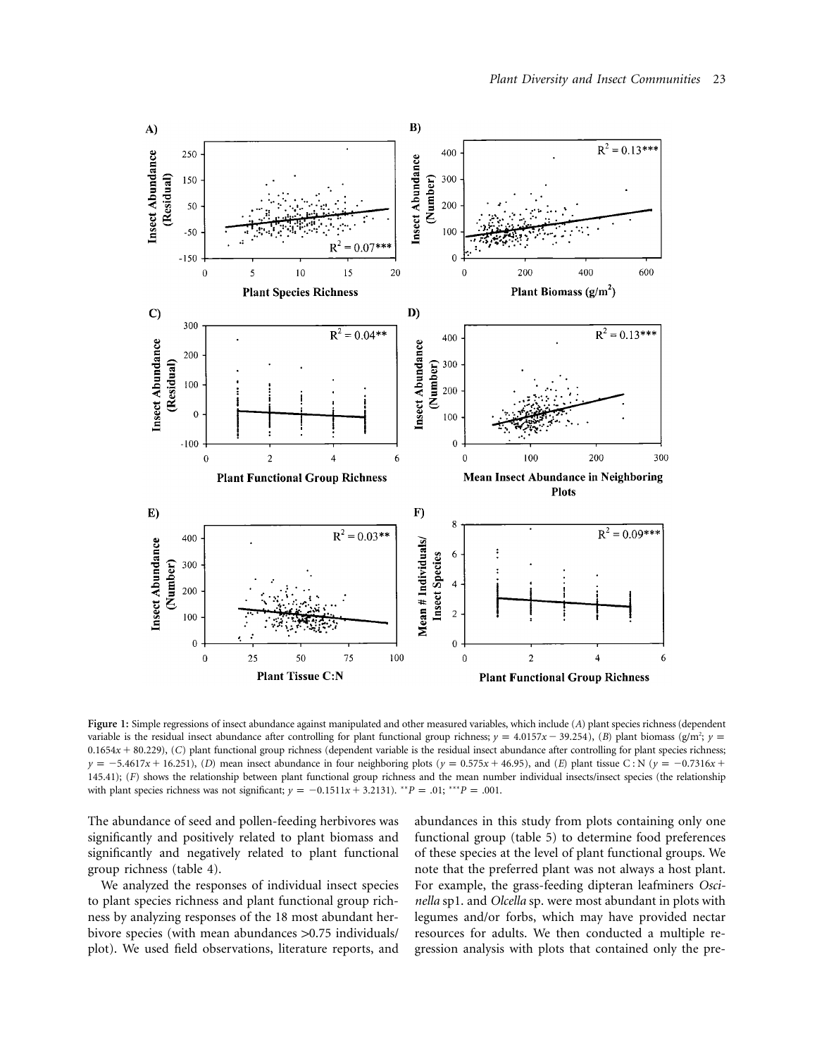

**Figure 1:** Simple regressions of insect abundance against manipulated and other measured variables, which include (*A*) plant species richness (dependent variable is the residual insect abundance after controlling for plant functional group richness;  $\gamma = 4.0157x - 39.254$  ; (*B*) plant biomass (g/m<sup>2</sup>;  $\gamma =$ 0.1654x + 80.229), (C) plant functional group richness (dependent variable is the residual insect abundance after controlling for plant species richness;  $y = -5.4617x + 16.251$ , (*D*) mean insect abundance in four neighboring plots ( $y = 0.575x + 46.95$ ), and (*E*) plant tissue C: N ( $y = -0.7316x +$ 145.41); (*F*) shows the relationship between plant functional group richness and the mean number individual insects/insect species (the relationship with plant species richness was not significant;  $y = -0.1511x + 3.2131$ *.* \*\**P* = .01; \*\*\**P* = .001.

The abundance of seed and pollen-feeding herbivores was significantly and positively related to plant biomass and significantly and negatively related to plant functional group richness (table 4).

We analyzed the responses of individual insect species to plant species richness and plant functional group richness by analyzing responses of the 18 most abundant herbivore species (with mean abundances > 0.75 individuals/ plot). We used field observations, literature reports, and abundances in this study from plots containing only one functional group (table 5) to determine food preferences of these species at the level of plant functional groups. We note that the preferred plant was not always a host plant. For example, the grass-feeding dipteran leafminers *Oscinella* sp1. and *Olcella* sp. were most abundant in plots with legumes and/or forbs, which may have provided nectar resources for adults. We then conducted a multiple regression analysis with plots that contained only the pre-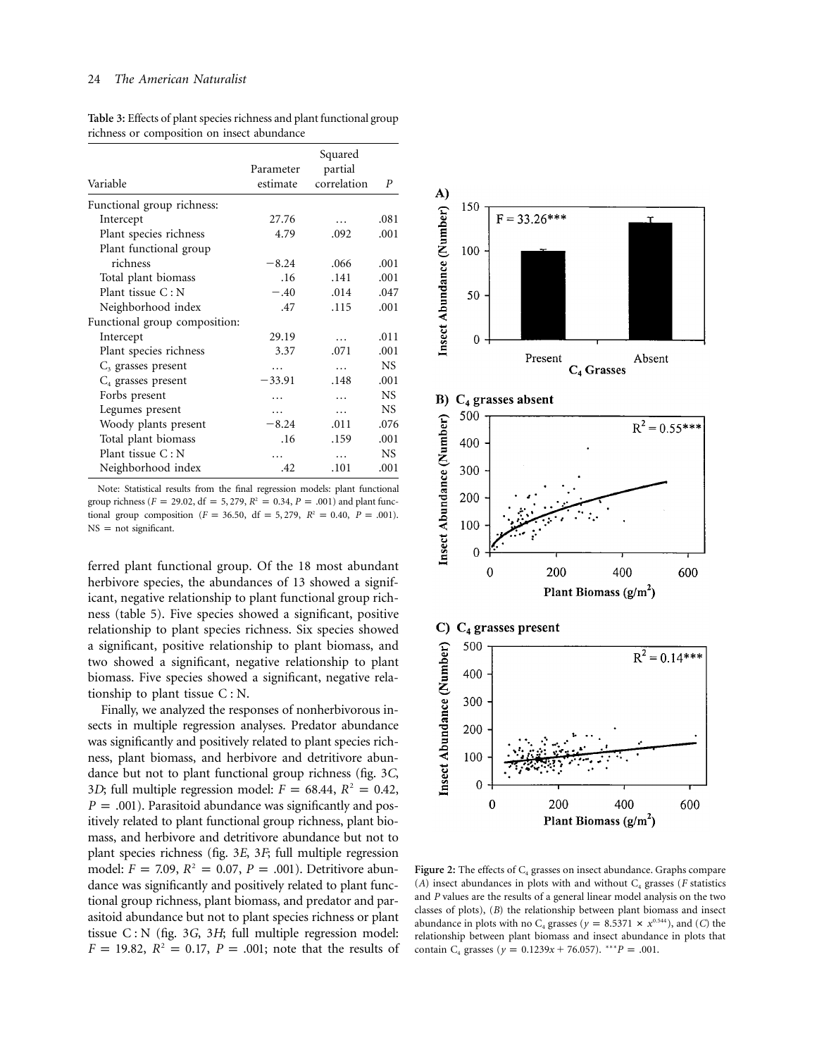| Variable                      | Parameter<br>estimate | Squared<br>partial<br>correlation | P         |
|-------------------------------|-----------------------|-----------------------------------|-----------|
| Functional group richness:    |                       |                                   |           |
| Intercept                     | 27.76                 |                                   | .081      |
| Plant species richness        | 4.79                  | .092                              | .001      |
| Plant functional group        |                       |                                   |           |
| richness                      | $-8.24$               | .066                              | .001      |
| Total plant biomass           | .16                   | .141                              | .001      |
| Plant tissue C: N             | $-.40$                | .014                              | .047      |
| Neighborhood index            | .47                   | .115                              | .001      |
| Functional group composition: |                       |                                   |           |
| Intercept                     | 29.19                 | .                                 | .011      |
| Plant species richness        | 3.37                  | .071                              | .001      |
| $C3$ grasses present          |                       |                                   | NS.       |
| $C_4$ grasses present         | $-33.91$              | .148                              | .001      |
| Forbs present                 | .                     | .                                 | NS.       |
| Legumes present               | $\cdots$              | $\cdots$                          | <b>NS</b> |
| Woody plants present          | $-8.24$               | .011                              | .076      |
| Total plant biomass           | .16                   | .159                              | .001      |
| Plant tissue C: N             |                       | .                                 | NS.       |
| Neighborhood index            | .42                   | .101                              | .001      |

**Table 3:** Effects of plant species richness and plant functional group richness or composition on insect abundance

Note: Statistical results from the final regression models: plant functional group richness ( $F = 29.02$ , df = 5, 279,  $R^2 = 0.34$ ,  $P = .001$ ) and plant functional group composition ( $F = 36.50$ , df = 5, 279,  $R^2 = 0.40$ ,  $P = .001$ ).  $NS = not significant.$ 

ferred plant functional group. Of the 18 most abundant herbivore species, the abundances of 13 showed a significant, negative relationship to plant functional group richness (table 5). Five species showed a significant, positive relationship to plant species richness. Six species showed a significant, positive relationship to plant biomass, and two showed a significant, negative relationship to plant biomass. Five species showed a significant, negative relationship to plant tissue C : N.

Finally, we analyzed the responses of nonherbivorous insects in multiple regression analyses. Predator abundance was significantly and positively related to plant species richness, plant biomass, and herbivore and detritivore abundance but not to plant functional group richness (fig. 3*C*, 3*D*; full multiple regression model:  $F = 68.44$ ,  $R^2 = 0.42$ ,  $P = .001$ ). Parasitoid abundance was significantly and positively related to plant functional group richness, plant biomass, and herbivore and detritivore abundance but not to plant species richness (fig. 3*E*, 3*F*; full multiple regression model:  $F = 7.09$ ,  $R^2 = 0.07$ ,  $P = .001$ ). Detritivore abundance was significantly and positively related to plant functional group richness, plant biomass, and predator and parasitoid abundance but not to plant species richness or plant tissue C : N (fig. 3*G*, 3*H*; full multiple regression model:  $F = 19.82$ ,  $R^2 = 0.17$ ,  $P = .001$ ; note that the results of



**Figure 2:** The effects of  $C_4$  grasses on insect abundance. Graphs compare  $(A)$  insect abundances in plots with and without  $C_4$  grasses (*F* statistics and *P* values are the results of a general linear model analysis on the two classes of plots), (*B*) the relationship between plant biomass and insect abundance in plots with no C<sub>4</sub> grasses ( $y = 8.5371 \times x^{0.544}$ ), and (*C*) the relationship between plant biomass and insect abundance in plots that contain C<sub>4</sub> grasses ( $y = 0.1239x + 76.057$ ).  $^{***}P = .001$ .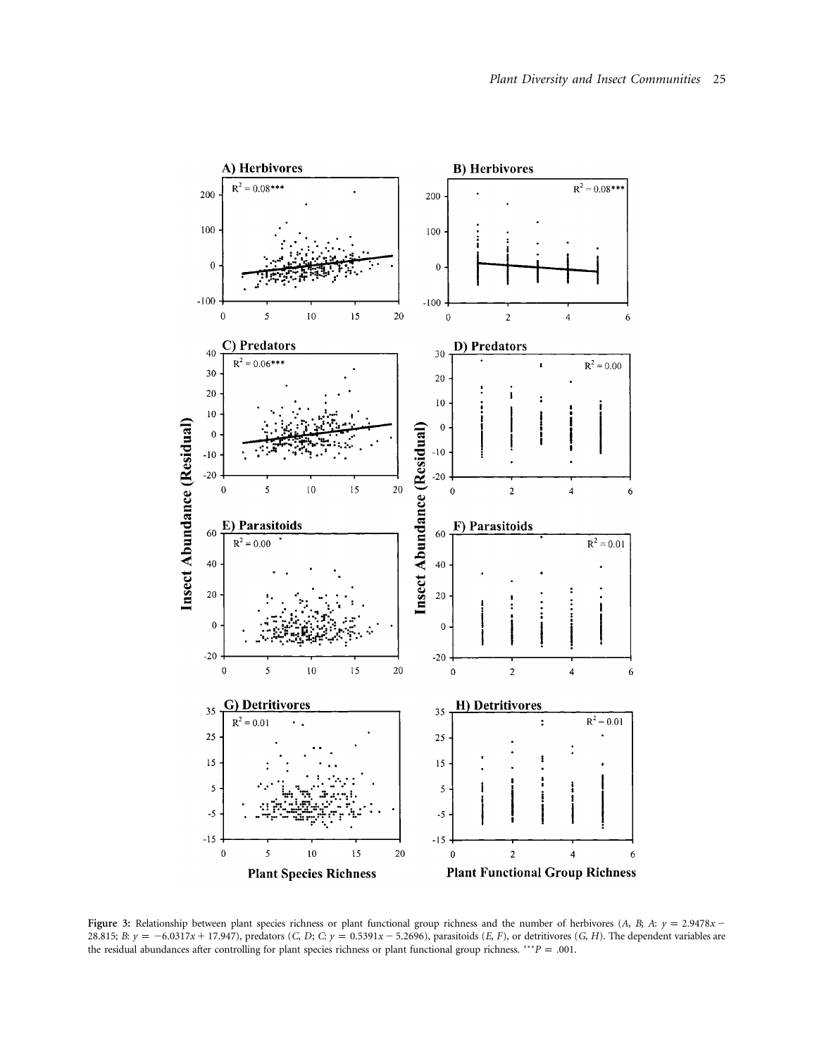

**Figure 3:** Relationship between plant species richness or plant functional group richness and the number of herbivores (*A*, *B*;  $A$ :  $y = 2.9478x -$ 28.815; B:  $y = -6.0317x + 17.947$ ), predators (C, D; C:  $y = 0.5391x - 5.2696$ ), parasitoids (E, F), or detritivores (G, H). The dependent variables are the residual abundances after controlling for plant species richness or plant functional group richness. \*\*\**P* = .001.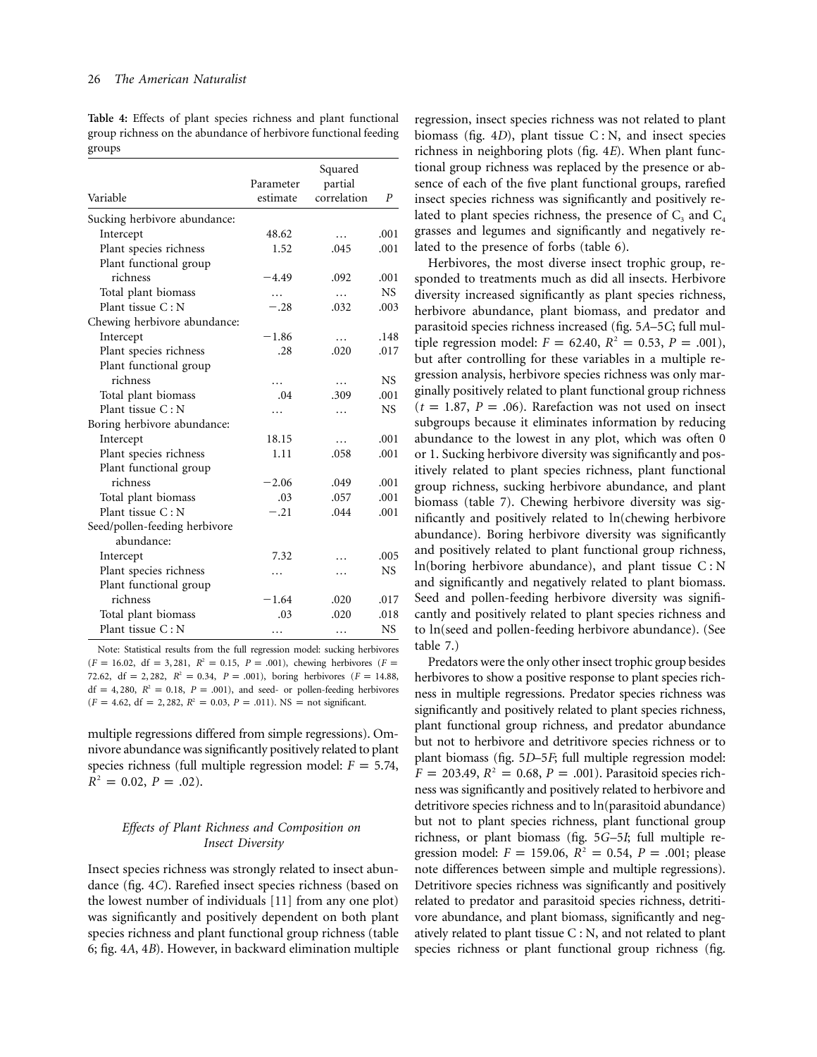**Table 4:** Effects of plant species richness and plant functional group richness on the abundance of herbivore functional feeding groups

| Variable                      | Parameter<br>estimate | Squared<br>partial<br>correlation | P         |
|-------------------------------|-----------------------|-----------------------------------|-----------|
| Sucking herbivore abundance:  |                       |                                   |           |
| Intercept                     | 48.62                 | .                                 | .001      |
| Plant species richness        | 1.52                  | .045                              | .001      |
| Plant functional group        |                       |                                   |           |
| richness                      | $-4.49$               | .092                              | .001      |
| Total plant biomass           | $\cdots$              | $\cdots$                          | <b>NS</b> |
| Plant tissue C: N             | $-.28$                | .032                              | .003      |
| Chewing herbivore abundance:  |                       |                                   |           |
| Intercept                     | $-1.86$               | .                                 | .148      |
| Plant species richness        | .28                   | .020                              | .017      |
| Plant functional group        |                       |                                   |           |
| richness                      | .                     | .                                 | NS.       |
| Total plant biomass           | .04                   | .309                              | .001      |
| Plant tissue C: N             | .                     | $\cdots$                          | NS.       |
| Boring herbivore abundance:   |                       |                                   |           |
| Intercept                     | 18.15                 | .                                 | .001      |
| Plant species richness        | 1.11                  | .058                              | .001      |
| Plant functional group        |                       |                                   |           |
| richness                      | $-2.06$               | .049                              | .001      |
| Total plant biomass           | .03                   | .057                              | .001      |
| Plant tissue $C: N$           | $-.21$                | .044                              | .001      |
| Seed/pollen-feeding herbivore |                       |                                   |           |
| abundance:                    |                       |                                   |           |
| Intercept                     | 7.32                  |                                   | .005      |
| Plant species richness        | .                     | .                                 | NS.       |
| Plant functional group        |                       |                                   |           |
| richness                      | $-1.64$               | .020                              | .017      |
| Total plant biomass           | .03                   | .020                              | .018      |
| Plant tissue C: N             | $\cdots$              | .                                 | NS.       |

Note: Statistical results from the full regression model: sucking herbivores  $(F = 16.02, df = 3, 281, R<sup>2</sup> = 0.15, P = .001$ , chewing herbivores  $(F =$ 72.62,  $df = 2,282$ ,  $R^2 = 0.34$ ,  $P = .001$ ), boring herbivores ( $F = 14.88$ ,  $df = 4,280$ ,  $R^2 = 0.18$ ,  $P = .001$ ), and seed- or pollen-feeding herbivores  $(F = 4.62, df = 2,282, R<sup>2</sup> = 0.03, P = .011)$ . NS = not significant.

multiple regressions differed from simple regressions). Omnivore abundance was significantly positively related to plant species richness (full multiple regression model:  $F = 5.74$ ,  $R^2 = 0.02$ ,  $P = .02$ ).

# *Effects of Plant Richness and Composition on Insect Diversity*

Insect species richness was strongly related to insect abundance (fig. 4*C*). Rarefied insect species richness (based on the lowest number of individuals [11] from any one plot) was significantly and positively dependent on both plant species richness and plant functional group richness (table 6; fig. 4*A*, 4*B*). However, in backward elimination multiple

regression, insect species richness was not related to plant biomass (fig. 4*D*), plant tissue C : N, and insect species richness in neighboring plots (fig. 4*E*). When plant functional group richness was replaced by the presence or absence of each of the five plant functional groups, rarefied insect species richness was significantly and positively related to plant species richness, the presence of  $C_3$  and  $C_4$ grasses and legumes and significantly and negatively related to the presence of forbs (table 6).

Herbivores, the most diverse insect trophic group, responded to treatments much as did all insects. Herbivore diversity increased significantly as plant species richness, herbivore abundance, plant biomass, and predator and parasitoid species richness increased (fig. 5*A*–5*C*; full multiple regression model:  $F = 62.40, R^2 = 0.53, P = .001$ ), but after controlling for these variables in a multiple regression analysis, herbivore species richness was only marginally positively related to plant functional group richness  $(t = 1.87, P = .06)$ . Rarefaction was not used on insect subgroups because it eliminates information by reducing abundance to the lowest in any plot, which was often 0 or 1. Sucking herbivore diversity was significantly and positively related to plant species richness, plant functional group richness, sucking herbivore abundance, and plant biomass (table 7). Chewing herbivore diversity was significantly and positively related to  $ln($ chewing herbivore abundance). Boring herbivore diversity was significantly and positively related to plant functional group richness,  $ln(boring herbivore abundance)$ , and plant tissue  $C: N$ and significantly and negatively related to plant biomass. Seed and pollen-feeding herbivore diversity was significantly and positively related to plant species richness and to  $ln(s$ eed and pollen-feeding herbivore abundance). (See table 7.)

Predators were the only other insect trophic group besides herbivores to show a positive response to plant species richness in multiple regressions. Predator species richness was significantly and positively related to plant species richness, plant functional group richness, and predator abundance but not to herbivore and detritivore species richness or to plant biomass (fig. 5*D*–5*F*; full multiple regression model:  $F = 203.49$ ,  $R^2 = 0.68$ ,  $P = .001$ ). Parasitoid species richness was significantly and positively related to herbivore and detritivore species richness and to  $ln(parasi ioid$  abundance) but not to plant species richness, plant functional group richness, or plant biomass (fig. 5*G*–5*I*; full multiple regression model:  $F = 159.06$ ,  $R^2 = 0.54$ ,  $P = .001$ ; please note differences between simple and multiple regressions). Detritivore species richness was significantly and positively related to predator and parasitoid species richness, detritivore abundance, and plant biomass, significantly and negatively related to plant tissue C : N, and not related to plant species richness or plant functional group richness (fig.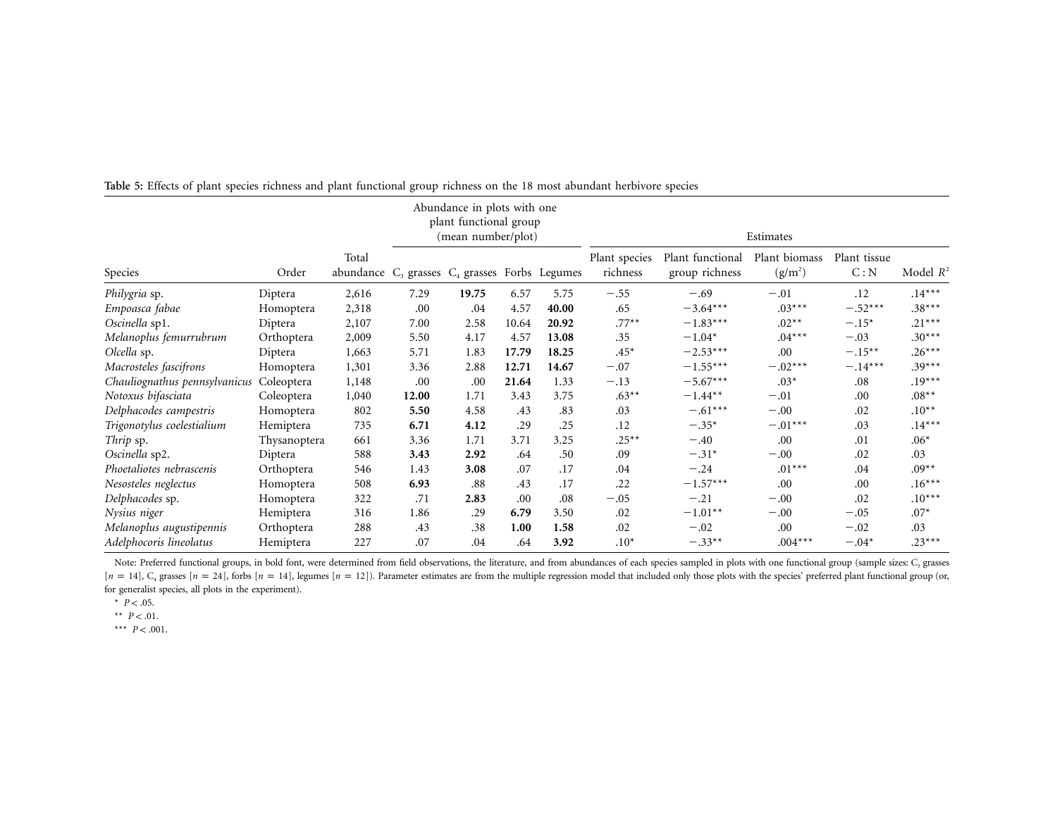|                               |              |       | Abundance in plots with one<br>plant functional group<br>(mean number/plot) |       |       | Estimates |                           |                                    |                            |                      |             |
|-------------------------------|--------------|-------|-----------------------------------------------------------------------------|-------|-------|-----------|---------------------------|------------------------------------|----------------------------|----------------------|-------------|
| Species                       | Order        | Total | abundance $C_3$ grasses $C_4$ grasses Forbs Legumes                         |       |       |           | Plant species<br>richness | Plant functional<br>group richness | Plant biomass<br>$(g/m^2)$ | Plant tissue<br>C: N | Model $R^2$ |
| Philygria sp.                 | Diptera      | 2,616 | 7.29                                                                        | 19.75 | 6.57  | 5.75      | $-.55$                    | $-.69$                             | $-.01$                     | .12                  | $.14***$    |
| Empoasca fabae                | Homoptera    | 2,318 | .00                                                                         | .04   | 4.57  | 40.00     | .65                       | $-3.64***$                         | $.03***$                   | $-.52***$            | $.38***$    |
| Oscinella sp1.                | Diptera      | 2,107 | 7.00                                                                        | 2.58  | 10.64 | 20.92     | $.77***$                  | $-1.83***$                         | $.02**$                    | $-.15*$              | $.21***$    |
| Melanoplus femurrubrum        | Orthoptera   | 2,009 | 5.50                                                                        | 4.17  | 4.57  | 13.08     | .35                       | $-1.04*$                           | $.04***$                   | $-.03$               | $.30***$    |
| Olcella sp.                   | Diptera      | 1,663 | 5.71                                                                        | 1.83  | 17.79 | 18.25     | $.45*$                    | $-2.53***$                         | .00                        | $-.15***$            | $.26***$    |
| Macrosteles fascifrons        | Homoptera    | 1,301 | 3.36                                                                        | 2.88  | 12.71 | 14.67     | $-.07$                    | $-1.55***$                         | $-.02***$                  | $-.14***$            | $.39***$    |
| Chauliognathus pennsylvanicus | Coleoptera   | 1,148 | .00                                                                         | .00   | 21.64 | 1.33      | $-.13$                    | $-5.67***$                         | $.03*$                     | .08                  | $.19***$    |
| Notoxus bifasciata            | Coleoptera   | 1,040 | 12.00                                                                       | 1.71  | 3.43  | 3.75      | $.63**$                   | $-1.44**$                          | $-.01$                     | .00                  | $.08**$     |
| Delphacodes campestris        | Homoptera    | 802   | 5.50                                                                        | 4.58  | .43   | .83       | .03                       | $-.61***$                          | $-.00$                     | .02                  | $.10**$     |
| Trigonotylus coelestialium    | Hemiptera    | 735   | 6.71                                                                        | 4.12  | .29   | .25       | .12                       | $-.35*$                            | $-.01***$                  | .03                  | $.14***$    |
| Thrip sp.                     | Thysanoptera | 661   | 3.36                                                                        | 1.71  | 3.71  | 3.25      | $.25***$                  | $-.40$                             | .00                        | .01                  | $.06*$      |
| Oscinella sp2.                | Diptera      | 588   | 3.43                                                                        | 2.92  | .64   | .50       | .09                       | $-.31*$                            | $-.00$                     | .02                  | .03         |
| Phoetaliotes nebrascenis      | Orthoptera   | 546   | 1.43                                                                        | 3.08  | .07   | .17       | .04                       | $-.24$                             | $.01***$                   | .04                  | $.09**$     |
| Nesosteles neglectus          | Homoptera    | 508   | 6.93                                                                        | .88   | .43   | .17       | .22                       | $-1.57***$                         | .00                        | .00                  | $.16***$    |
| Delphacodes sp.               | Homoptera    | 322   | .71                                                                         | 2.83  | .00   | .08       | $-.05$                    | $-.21$                             | $-.00$                     | .02                  | $.10***$    |
| Nysius niger                  | Hemiptera    | 316   | 1.86                                                                        | .29   | 6.79  | 3.50      | .02                       | $-1.01**$                          | $-.00$                     | $-.05$               | $.07*$      |
| Melanoplus augustipennis      | Orthoptera   | 288   | .43                                                                         | .38   | 1.00  | 1.58      | .02                       | $-.02$                             | .00                        | $-.02$               | .03         |
| Adelphocoris lineolatus       | Hemiptera    | 227   | .07                                                                         | .04   | .64   | 3.92      | $.10*$                    | $-.33**$                           | $.004***$                  | $-.04*$              | $.23***$    |

**Table 5:** Effects of plant species richness and plant functional group richness on the <sup>18</sup> most abundant herbivore species

Note: Preferred functional groups, in bold font, were determined from field observations, the literature, and from abundances of each species sampled in plots with one functional group (sample sizes: C<sub>3</sub> grasses  $[n = 14]$ ,  $C_4$  grasses  $[n = 24]$ , forbs  $[n = 14]$ , legumes  $[n = 12]$ ). Parameter estimates are from the multiple regression model that included only those plots with the species' preferred plant functional group (or, for generalist species, all plots in the experiment).

 $* \, P < .05.$ 

 $*$   $*$   $P < .01$ .

 $***$   $P < .001$ .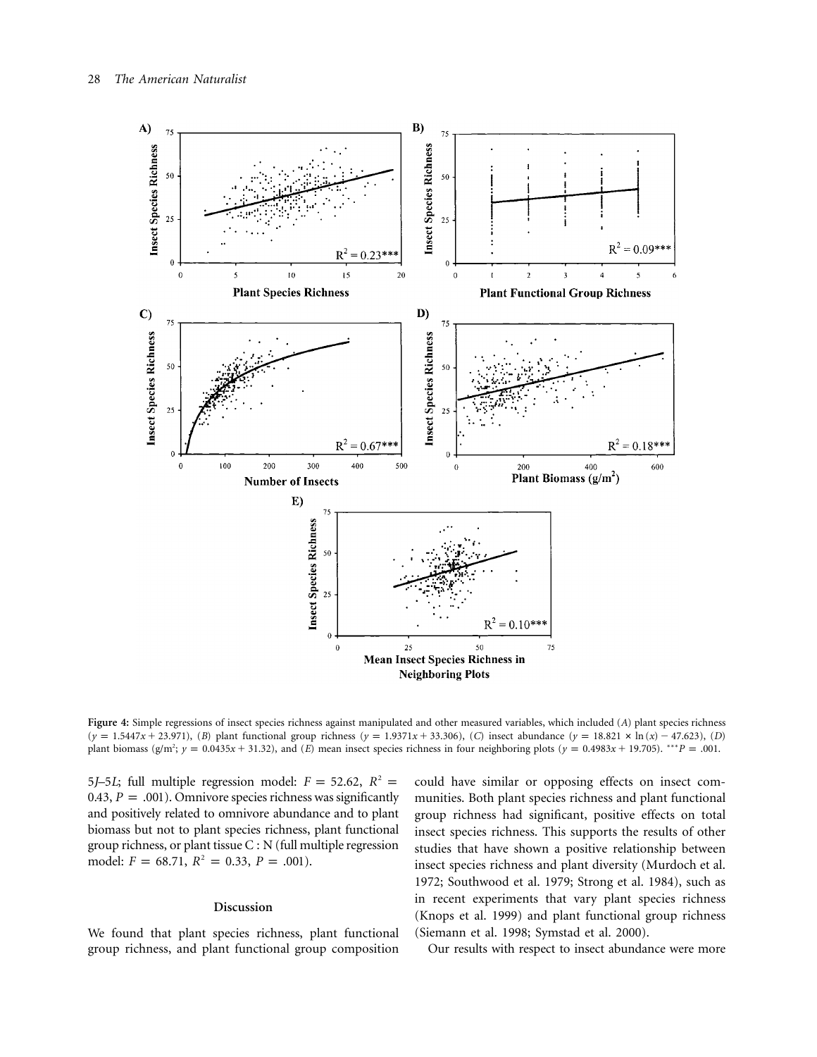

**Figure 4:** Simple regressions of insect species richness against manipulated and other measured variables, which included (*A*) plant species richness  $(y = 1.5447x + 23.971)$ , (*B*) plant functional group richness  $(y = 1.9371x + 33.306)$ , (*C*) insect abundance  $(y = 18.821 \times \ln(x) - 47.623)$ , (*D*) plant biomass (g/m<sup>2</sup>;  $y = 0.0435x + 31.32$ ), and (*E*) mean insect species richness in four neighboring plots ( $y = 0.4983x + 19.705$ ). \*\*\**P* = .001.

5*J*–5*L*; full multiple regression model:  $F = 52.62$ ,  $R^2 =$ 0.43,  $P = .001$ ). Omnivore species richness was significantly and positively related to omnivore abundance and to plant biomass but not to plant species richness, plant functional group richness, or plant tissue C : N (full multiple regression model:  $F = 68.71, R^2 = 0.33, P = .001$ .

## **Discussion**

We found that plant species richness, plant functional group richness, and plant functional group composition could have similar or opposing effects on insect communities. Both plant species richness and plant functional group richness had significant, positive effects on total insect species richness. This supports the results of other studies that have shown a positive relationship between insect species richness and plant diversity (Murdoch et al. 1972; Southwood et al. 1979; Strong et al. 1984), such as in recent experiments that vary plant species richness (Knops et al. 1999) and plant functional group richness (Siemann et al. 1998; Symstad et al. 2000).

Our results with respect to insect abundance were more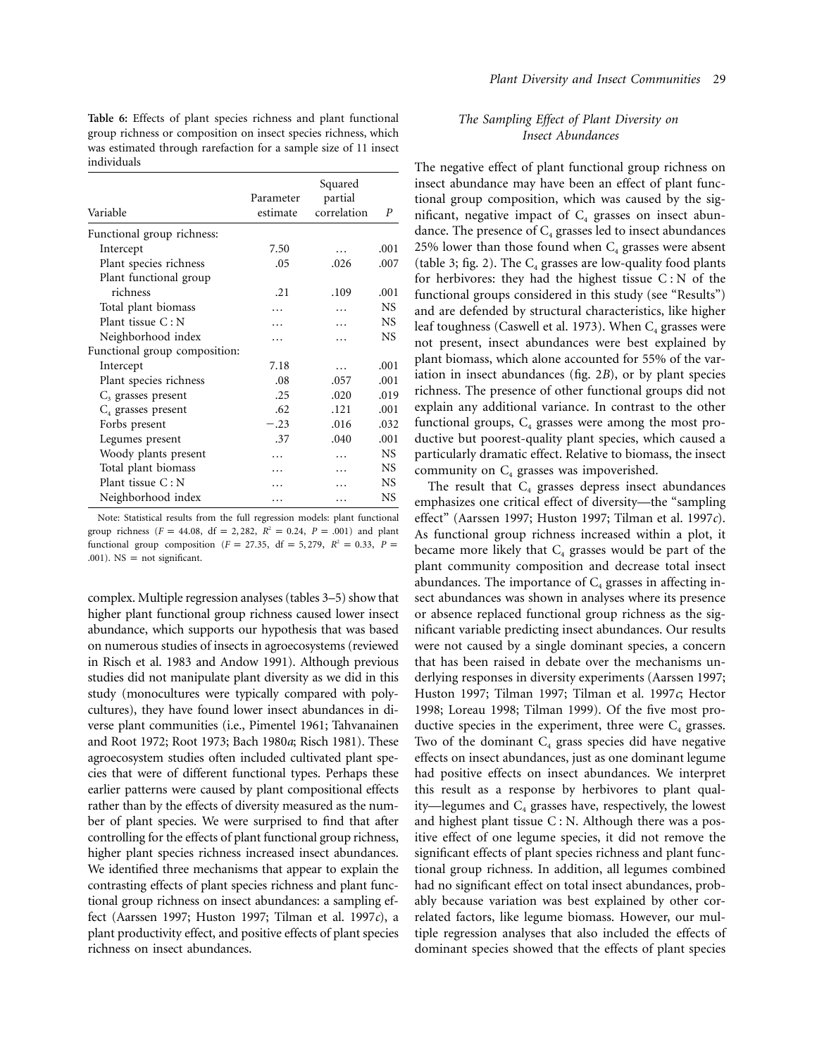**Table 6:** Effects of plant species richness and plant functional group richness or composition on insect species richness, which was estimated through rarefaction for a sample size of 11 insect individuals

| Variable                      | Parameter<br>estimate | Squared<br>partial<br>correlation | P         |
|-------------------------------|-----------------------|-----------------------------------|-----------|
| Functional group richness:    |                       |                                   |           |
| Intercept                     | 7.50                  |                                   | .001      |
| Plant species richness        | .05                   | .026                              | .007      |
| Plant functional group        |                       |                                   |           |
| richness                      | .21                   | .109                              | .001      |
| Total plant biomass           |                       |                                   | <b>NS</b> |
| Plant tissue $C: N$           |                       |                                   | NS.       |
| Neighborhood index            |                       |                                   | <b>NS</b> |
| Functional group composition: |                       |                                   |           |
| Intercept                     | 7.18                  | .                                 | .001      |
| Plant species richness        | .08                   | .057                              | .001      |
| $C3$ grasses present          | .25                   | .020                              | .019      |
| $C_4$ grasses present         | .62                   | .121                              | .001      |
| Forbs present                 | $-.23$                | .016                              | .032      |
| Legumes present               | .37                   | .040                              | .001      |
| Woody plants present          | .                     | $\cdots$                          | <b>NS</b> |
| Total plant biomass           |                       | $\overline{\phantom{a}}$          | <b>NS</b> |
| Plant tissue $C: N$           |                       |                                   | <b>NS</b> |
| Neighborhood index            | .                     | .                                 | NS        |

Note: Statistical results from the full regression models: plant functional group richness ( $F = 44.08$ , df = 2, 282,  $R^2 = 0.24$ ,  $P = .001$ ) and plant functional group composition ( $F = 27.35$ , df = 5, 279,  $R^2 = 0.33$ ,  $P =$ .001).  $NS = not significant$ .

complex. Multiple regression analyses (tables 3–5) show that higher plant functional group richness caused lower insect abundance, which supports our hypothesis that was based on numerous studies of insects in agroecosystems (reviewed in Risch et al. 1983 and Andow 1991). Although previous studies did not manipulate plant diversity as we did in this study (monocultures were typically compared with polycultures), they have found lower insect abundances in diverse plant communities (i.e., Pimentel 1961; Tahvanainen and Root 1972; Root 1973; Bach 1980*a*; Risch 1981). These agroecosystem studies often included cultivated plant species that were of different functional types. Perhaps these earlier patterns were caused by plant compositional effects rather than by the effects of diversity measured as the number of plant species. We were surprised to find that after controlling for the effects of plant functional group richness, higher plant species richness increased insect abundances. We identified three mechanisms that appear to explain the contrasting effects of plant species richness and plant functional group richness on insect abundances: a sampling effect (Aarssen 1997; Huston 1997; Tilman et al. 1997*c*), a plant productivity effect, and positive effects of plant species richness on insect abundances.

# *The Sampling Effect of Plant Diversity on Insect Abundances*

The negative effect of plant functional group richness on insect abundance may have been an effect of plant functional group composition, which was caused by the significant, negative impact of  $C_4$  grasses on insect abundance. The presence of  $C_4$  grasses led to insect abundances 25% lower than those found when  $C_4$  grasses were absent (table 3; fig. 2). The  $C_4$  grasses are low-quality food plants for herbivores: they had the highest tissue C : N of the functional groups considered in this study (see "Results") and are defended by structural characteristics, like higher leaf toughness (Caswell et al. 1973). When  $C_4$  grasses were not present, insect abundances were best explained by plant biomass, which alone accounted for 55% of the variation in insect abundances (fig. 2*B*), or by plant species richness. The presence of other functional groups did not explain any additional variance. In contrast to the other functional groups,  $C_4$  grasses were among the most productive but poorest-quality plant species, which caused a particularly dramatic effect. Relative to biomass, the insect community on  $C_4$  grasses was impoverished.

The result that  $C_4$  grasses depress insect abundances emphasizes one critical effect of diversity—the "sampling effect" (Aarssen 1997; Huston 1997; Tilman et al. 1997*c*). As functional group richness increased within a plot, it became more likely that  $C_4$  grasses would be part of the plant community composition and decrease total insect abundances. The importance of  $C_4$  grasses in affecting insect abundances was shown in analyses where its presence or absence replaced functional group richness as the significant variable predicting insect abundances. Our results were not caused by a single dominant species, a concern that has been raised in debate over the mechanisms underlying responses in diversity experiments (Aarssen 1997; Huston 1997; Tilman 1997; Tilman et al. 1997*c*; Hector 1998; Loreau 1998; Tilman 1999). Of the five most productive species in the experiment, three were  $C_4$  grasses. Two of the dominant  $C_4$  grass species did have negative effects on insect abundances, just as one dominant legume had positive effects on insect abundances. We interpret this result as a response by herbivores to plant quality—legumes and  $C_4$  grasses have, respectively, the lowest and highest plant tissue C : N. Although there was a positive effect of one legume species, it did not remove the significant effects of plant species richness and plant functional group richness. In addition, all legumes combined had no significant effect on total insect abundances, probably because variation was best explained by other correlated factors, like legume biomass. However, our multiple regression analyses that also included the effects of dominant species showed that the effects of plant species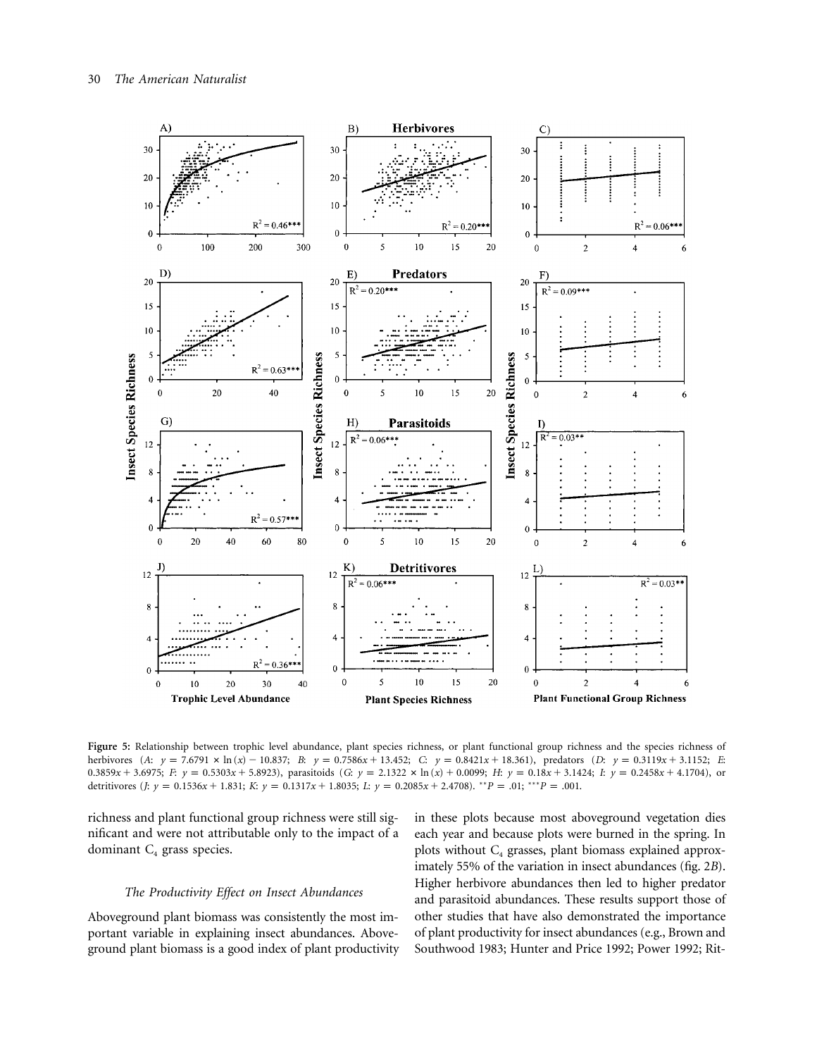

**Figure 5:** Relationship between trophic level abundance, plant species richness, or plant functional group richness and the species richness of herbivores (A:  $y = 7.6791 \times \ln(x) - 10.837$ ; B:  $y = 0.7586x + 13.452$ ; C:  $y = 0.8421x + 18.361$ ), predators (D:  $y = 0.3119x + 3.1152$ ; E:  $0.3859x + 3.6975$ ; F:  $y = 0.5303x + 5.8923$ , parasitoids  $(G: y = 2.1322 \times \ln(x) + 0.0099;$  H:  $y = 0.18x + 3.1424$ ; I:  $y = 0.2458x + 4.1704$ , or detritivores  $(j: y = 0.1536x + 1.831; K: y = 0.1317x + 1.8035; L: y = 0.2085x + 2.4708$ . *\*\*P* = .01; *\*\*\*P* = .001.

richness and plant functional group richness were still significant and were not attributable only to the impact of a dominant  $C_4$  grass species.

## *The Productivity Effect on Insect Abundances*

Aboveground plant biomass was consistently the most important variable in explaining insect abundances. Aboveground plant biomass is a good index of plant productivity in these plots because most aboveground vegetation dies each year and because plots were burned in the spring. In plots without C<sub>4</sub> grasses, plant biomass explained approximately 55% of the variation in insect abundances (fig. 2*B*). Higher herbivore abundances then led to higher predator and parasitoid abundances. These results support those of other studies that have also demonstrated the importance of plant productivity for insect abundances (e.g., Brown and Southwood 1983; Hunter and Price 1992; Power 1992; Rit-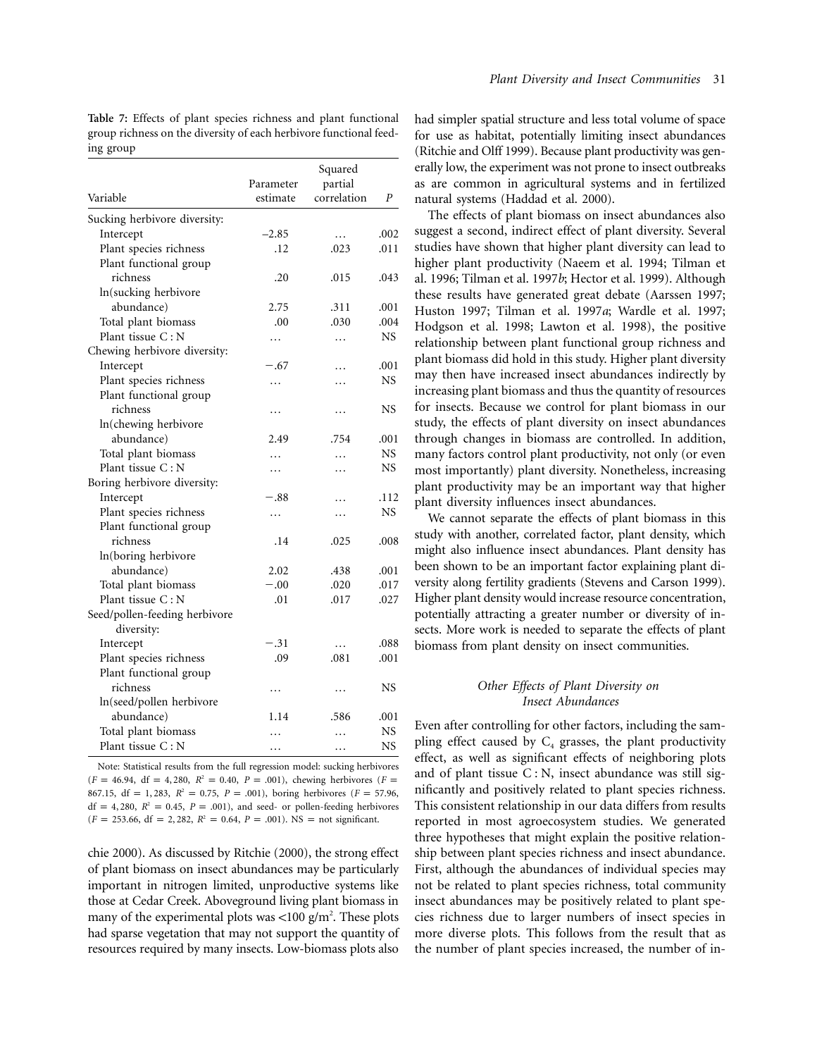**Table 7:** Effects of plant species richness and plant functional group richness on the diversity of each herbivore functional feeding group

|                                                                                                                                                                                                                                                                                                                                                                                                                                                                                                                                                                                                                                                                           |                                                                                                                                         | Squared                                                                                                                        |           |
|---------------------------------------------------------------------------------------------------------------------------------------------------------------------------------------------------------------------------------------------------------------------------------------------------------------------------------------------------------------------------------------------------------------------------------------------------------------------------------------------------------------------------------------------------------------------------------------------------------------------------------------------------------------------------|-----------------------------------------------------------------------------------------------------------------------------------------|--------------------------------------------------------------------------------------------------------------------------------|-----------|
|                                                                                                                                                                                                                                                                                                                                                                                                                                                                                                                                                                                                                                                                           | Parameter                                                                                                                               | partial                                                                                                                        |           |
| Variable                                                                                                                                                                                                                                                                                                                                                                                                                                                                                                                                                                                                                                                                  | estimate                                                                                                                                | correlation                                                                                                                    | P         |
| Sucking herbivore diversity:                                                                                                                                                                                                                                                                                                                                                                                                                                                                                                                                                                                                                                              |                                                                                                                                         |                                                                                                                                |           |
| Intercept                                                                                                                                                                                                                                                                                                                                                                                                                                                                                                                                                                                                                                                                 | $-2.85$                                                                                                                                 | .                                                                                                                              | .002      |
| Plant species richness                                                                                                                                                                                                                                                                                                                                                                                                                                                                                                                                                                                                                                                    | .12                                                                                                                                     | .023                                                                                                                           | .011      |
| Plant functional group                                                                                                                                                                                                                                                                                                                                                                                                                                                                                                                                                                                                                                                    |                                                                                                                                         |                                                                                                                                |           |
|                                                                                                                                                                                                                                                                                                                                                                                                                                                                                                                                                                                                                                                                           |                                                                                                                                         |                                                                                                                                | .043      |
|                                                                                                                                                                                                                                                                                                                                                                                                                                                                                                                                                                                                                                                                           |                                                                                                                                         |                                                                                                                                |           |
|                                                                                                                                                                                                                                                                                                                                                                                                                                                                                                                                                                                                                                                                           |                                                                                                                                         |                                                                                                                                | .001      |
|                                                                                                                                                                                                                                                                                                                                                                                                                                                                                                                                                                                                                                                                           |                                                                                                                                         |                                                                                                                                | .004      |
|                                                                                                                                                                                                                                                                                                                                                                                                                                                                                                                                                                                                                                                                           |                                                                                                                                         |                                                                                                                                | <b>NS</b> |
|                                                                                                                                                                                                                                                                                                                                                                                                                                                                                                                                                                                                                                                                           |                                                                                                                                         |                                                                                                                                |           |
|                                                                                                                                                                                                                                                                                                                                                                                                                                                                                                                                                                                                                                                                           |                                                                                                                                         |                                                                                                                                | .001      |
|                                                                                                                                                                                                                                                                                                                                                                                                                                                                                                                                                                                                                                                                           |                                                                                                                                         |                                                                                                                                | <b>NS</b> |
|                                                                                                                                                                                                                                                                                                                                                                                                                                                                                                                                                                                                                                                                           |                                                                                                                                         |                                                                                                                                |           |
|                                                                                                                                                                                                                                                                                                                                                                                                                                                                                                                                                                                                                                                                           |                                                                                                                                         |                                                                                                                                | NS        |
|                                                                                                                                                                                                                                                                                                                                                                                                                                                                                                                                                                                                                                                                           |                                                                                                                                         |                                                                                                                                |           |
|                                                                                                                                                                                                                                                                                                                                                                                                                                                                                                                                                                                                                                                                           |                                                                                                                                         |                                                                                                                                | .001      |
|                                                                                                                                                                                                                                                                                                                                                                                                                                                                                                                                                                                                                                                                           |                                                                                                                                         |                                                                                                                                | <b>NS</b> |
|                                                                                                                                                                                                                                                                                                                                                                                                                                                                                                                                                                                                                                                                           |                                                                                                                                         |                                                                                                                                | <b>NS</b> |
|                                                                                                                                                                                                                                                                                                                                                                                                                                                                                                                                                                                                                                                                           |                                                                                                                                         |                                                                                                                                |           |
|                                                                                                                                                                                                                                                                                                                                                                                                                                                                                                                                                                                                                                                                           |                                                                                                                                         |                                                                                                                                | .112      |
|                                                                                                                                                                                                                                                                                                                                                                                                                                                                                                                                                                                                                                                                           |                                                                                                                                         |                                                                                                                                | <b>NS</b> |
|                                                                                                                                                                                                                                                                                                                                                                                                                                                                                                                                                                                                                                                                           |                                                                                                                                         |                                                                                                                                |           |
|                                                                                                                                                                                                                                                                                                                                                                                                                                                                                                                                                                                                                                                                           |                                                                                                                                         |                                                                                                                                | .008      |
|                                                                                                                                                                                                                                                                                                                                                                                                                                                                                                                                                                                                                                                                           |                                                                                                                                         |                                                                                                                                |           |
|                                                                                                                                                                                                                                                                                                                                                                                                                                                                                                                                                                                                                                                                           |                                                                                                                                         |                                                                                                                                | .001      |
|                                                                                                                                                                                                                                                                                                                                                                                                                                                                                                                                                                                                                                                                           | $-.00$                                                                                                                                  |                                                                                                                                | .017      |
|                                                                                                                                                                                                                                                                                                                                                                                                                                                                                                                                                                                                                                                                           |                                                                                                                                         |                                                                                                                                | .027      |
|                                                                                                                                                                                                                                                                                                                                                                                                                                                                                                                                                                                                                                                                           |                                                                                                                                         |                                                                                                                                |           |
|                                                                                                                                                                                                                                                                                                                                                                                                                                                                                                                                                                                                                                                                           |                                                                                                                                         |                                                                                                                                |           |
|                                                                                                                                                                                                                                                                                                                                                                                                                                                                                                                                                                                                                                                                           |                                                                                                                                         |                                                                                                                                | .088      |
|                                                                                                                                                                                                                                                                                                                                                                                                                                                                                                                                                                                                                                                                           |                                                                                                                                         | .081                                                                                                                           | .001      |
|                                                                                                                                                                                                                                                                                                                                                                                                                                                                                                                                                                                                                                                                           |                                                                                                                                         |                                                                                                                                |           |
| richness                                                                                                                                                                                                                                                                                                                                                                                                                                                                                                                                                                                                                                                                  |                                                                                                                                         |                                                                                                                                | <b>NS</b> |
|                                                                                                                                                                                                                                                                                                                                                                                                                                                                                                                                                                                                                                                                           |                                                                                                                                         |                                                                                                                                |           |
|                                                                                                                                                                                                                                                                                                                                                                                                                                                                                                                                                                                                                                                                           |                                                                                                                                         |                                                                                                                                | .001      |
|                                                                                                                                                                                                                                                                                                                                                                                                                                                                                                                                                                                                                                                                           | .                                                                                                                                       | .                                                                                                                              | <b>NS</b> |
| Plant tissue C: N                                                                                                                                                                                                                                                                                                                                                                                                                                                                                                                                                                                                                                                         | .                                                                                                                                       | .                                                                                                                              | <b>NS</b> |
| richness<br>In(sucking herbivore<br>abundance)<br>Total plant biomass<br>Plant tissue $C: N$<br>Chewing herbivore diversity:<br>Intercept<br>Plant species richness<br>Plant functional group<br>richness<br>In(chewing herbivore<br>abundance)<br>Total plant biomass<br>Plant tissue C: N<br>Boring herbivore diversity:<br>Intercept<br>Plant species richness<br>Plant functional group<br>richness<br>In(boring herbivore<br>abundance)<br>Total plant biomass<br>Plant tissue C: N<br>Seed/pollen-feeding herbivore<br>diversity:<br>Intercept<br>Plant species richness<br>Plant functional group<br>ln(seed/pollen herbivore<br>abundance)<br>Total plant biomass | .20<br>2.75<br>.00<br>.<br>$-.67$<br>.<br>.<br>2.49<br>$\cdots$<br>.<br>$-.88$<br>.<br>.14<br>2.02<br>.01<br>$-.31$<br>.09<br>.<br>1.14 | .015<br>.311<br>.030<br>.<br>.<br>.<br>.<br>.754<br>$\ddotsc$<br>.<br>.<br>.<br>.025<br>.438<br>.020<br>.017<br>.<br>.<br>.586 |           |

Note: Statistical results from the full regression model: sucking herbivores  $(F = 46.94, df = 4, 280, R<sup>2</sup> = 0.40, P = .001$ , chewing herbivores  $(F =$ 867.15,  $df = 1,283$ ,  $R^2 = 0.75$ ,  $P = .001$ ), boring herbivores ( $F = 57.96$ ,  $df = 4,280$ ,  $R^2 = 0.45$ ,  $P = .001$ ), and seed- or pollen-feeding herbivores  $(F = 253.66, df = 2,282, R<sup>2</sup> = 0.64, P = .001)$ . NS = not significant.

chie 2000). As discussed by Ritchie (2000), the strong effect of plant biomass on insect abundances may be particularly important in nitrogen limited, unproductive systems like those at Cedar Creek. Aboveground living plant biomass in many of the experimental plots was <100 g/m<sup>2</sup>. These plots had sparse vegetation that may not support the quantity of resources required by many insects. Low-biomass plots also

had simpler spatial structure and less total volume of space for use as habitat, potentially limiting insect abundances (Ritchie and Olff 1999). Because plant productivity was generally low, the experiment was not prone to insect outbreaks as are common in agricultural systems and in fertilized natural systems (Haddad et al. 2000).

The effects of plant biomass on insect abundances also suggest a second, indirect effect of plant diversity. Several studies have shown that higher plant diversity can lead to higher plant productivity (Naeem et al. 1994; Tilman et al. 1996; Tilman et al. 1997*b*; Hector et al. 1999). Although these results have generated great debate (Aarssen 1997; Huston 1997; Tilman et al. 1997*a*; Wardle et al. 1997; Hodgson et al. 1998; Lawton et al. 1998), the positive relationship between plant functional group richness and plant biomass did hold in this study. Higher plant diversity may then have increased insect abundances indirectly by increasing plant biomass and thus the quantity of resources for insects. Because we control for plant biomass in our study, the effects of plant diversity on insect abundances through changes in biomass are controlled. In addition, many factors control plant productivity, not only (or even most importantly) plant diversity. Nonetheless, increasing plant productivity may be an important way that higher plant diversity influences insect abundances.

We cannot separate the effects of plant biomass in this study with another, correlated factor, plant density, which might also influence insect abundances. Plant density has been shown to be an important factor explaining plant diversity along fertility gradients (Stevens and Carson 1999). Higher plant density would increase resource concentration, potentially attracting a greater number or diversity of insects. More work is needed to separate the effects of plant biomass from plant density on insect communities.

## *Other Effects of Plant Diversity on Insect Abundances*

Even after controlling for other factors, including the sampling effect caused by  $C_4$  grasses, the plant productivity effect, as well as significant effects of neighboring plots and of plant tissue C : N, insect abundance was still significantly and positively related to plant species richness. This consistent relationship in our data differs from results reported in most agroecosystem studies. We generated three hypotheses that might explain the positive relationship between plant species richness and insect abundance. First, although the abundances of individual species may not be related to plant species richness, total community insect abundances may be positively related to plant species richness due to larger numbers of insect species in more diverse plots. This follows from the result that as the number of plant species increased, the number of in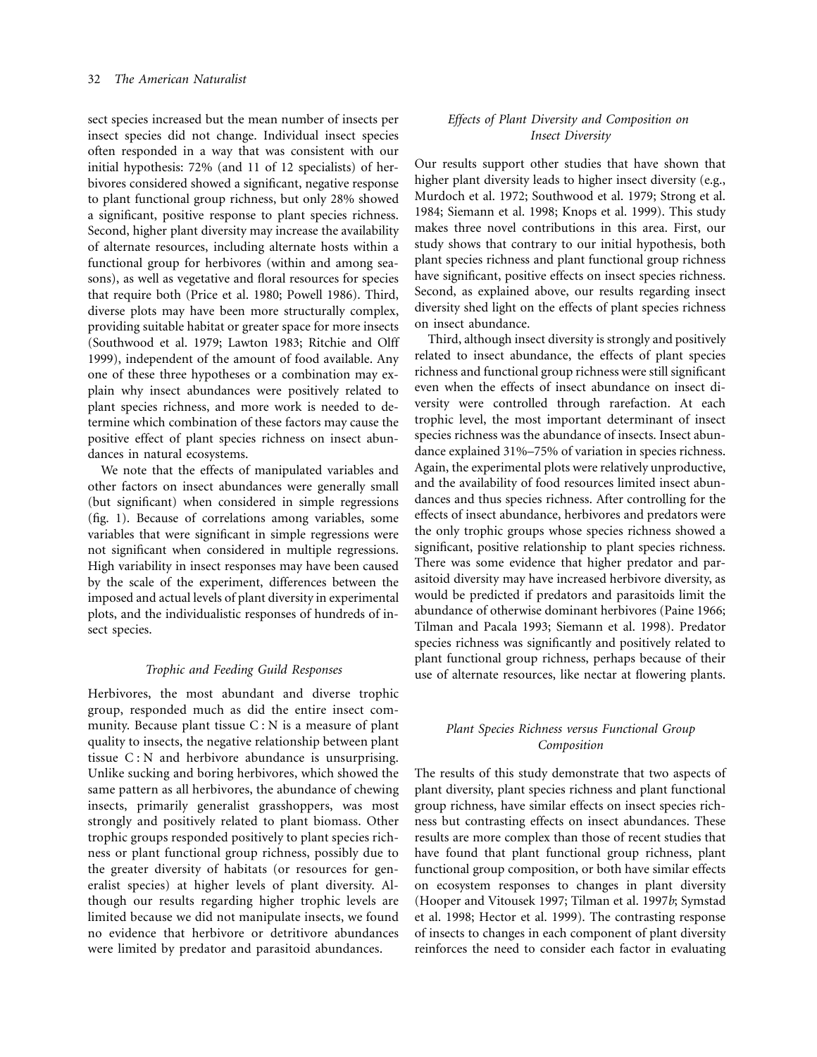sect species increased but the mean number of insects per insect species did not change. Individual insect species often responded in a way that was consistent with our initial hypothesis: 72% (and 11 of 12 specialists) of herbivores considered showed a significant, negative response to plant functional group richness, but only 28% showed a significant, positive response to plant species richness. Second, higher plant diversity may increase the availability of alternate resources, including alternate hosts within a functional group for herbivores (within and among seasons), as well as vegetative and floral resources for species that require both (Price et al. 1980; Powell 1986). Third, diverse plots may have been more structurally complex, providing suitable habitat or greater space for more insects (Southwood et al. 1979; Lawton 1983; Ritchie and Olff 1999), independent of the amount of food available. Any one of these three hypotheses or a combination may explain why insect abundances were positively related to plant species richness, and more work is needed to determine which combination of these factors may cause the positive effect of plant species richness on insect abundances in natural ecosystems.

We note that the effects of manipulated variables and other factors on insect abundances were generally small (but significant) when considered in simple regressions (fig. 1). Because of correlations among variables, some variables that were significant in simple regressions were not significant when considered in multiple regressions. High variability in insect responses may have been caused by the scale of the experiment, differences between the imposed and actual levels of plant diversity in experimental plots, and the individualistic responses of hundreds of insect species.

### *Trophic and Feeding Guild Responses*

Herbivores, the most abundant and diverse trophic group, responded much as did the entire insect community. Because plant tissue  $C : N$  is a measure of plant quality to insects, the negative relationship between plant tissue C : N and herbivore abundance is unsurprising. Unlike sucking and boring herbivores, which showed the same pattern as all herbivores, the abundance of chewing insects, primarily generalist grasshoppers, was most strongly and positively related to plant biomass. Other trophic groups responded positively to plant species richness or plant functional group richness, possibly due to the greater diversity of habitats (or resources for generalist species) at higher levels of plant diversity. Although our results regarding higher trophic levels are limited because we did not manipulate insects, we found no evidence that herbivore or detritivore abundances were limited by predator and parasitoid abundances.

## *Effects of Plant Diversity and Composition on Insect Diversity*

Our results support other studies that have shown that higher plant diversity leads to higher insect diversity (e.g., Murdoch et al. 1972; Southwood et al. 1979; Strong et al. 1984; Siemann et al. 1998; Knops et al. 1999). This study makes three novel contributions in this area. First, our study shows that contrary to our initial hypothesis, both plant species richness and plant functional group richness have significant, positive effects on insect species richness. Second, as explained above, our results regarding insect diversity shed light on the effects of plant species richness on insect abundance.

Third, although insect diversity is strongly and positively related to insect abundance, the effects of plant species richness and functional group richness were still significant even when the effects of insect abundance on insect diversity were controlled through rarefaction. At each trophic level, the most important determinant of insect species richness was the abundance of insects. Insect abundance explained 31%–75% of variation in species richness. Again, the experimental plots were relatively unproductive, and the availability of food resources limited insect abundances and thus species richness. After controlling for the effects of insect abundance, herbivores and predators were the only trophic groups whose species richness showed a significant, positive relationship to plant species richness. There was some evidence that higher predator and parasitoid diversity may have increased herbivore diversity, as would be predicted if predators and parasitoids limit the abundance of otherwise dominant herbivores (Paine 1966; Tilman and Pacala 1993; Siemann et al. 1998). Predator species richness was significantly and positively related to plant functional group richness, perhaps because of their use of alternate resources, like nectar at flowering plants.

# *Plant Species Richness versus Functional Group Composition*

The results of this study demonstrate that two aspects of plant diversity, plant species richness and plant functional group richness, have similar effects on insect species richness but contrasting effects on insect abundances. These results are more complex than those of recent studies that have found that plant functional group richness, plant functional group composition, or both have similar effects on ecosystem responses to changes in plant diversity (Hooper and Vitousek 1997; Tilman et al. 1997*b*; Symstad et al. 1998; Hector et al. 1999). The contrasting response of insects to changes in each component of plant diversity reinforces the need to consider each factor in evaluating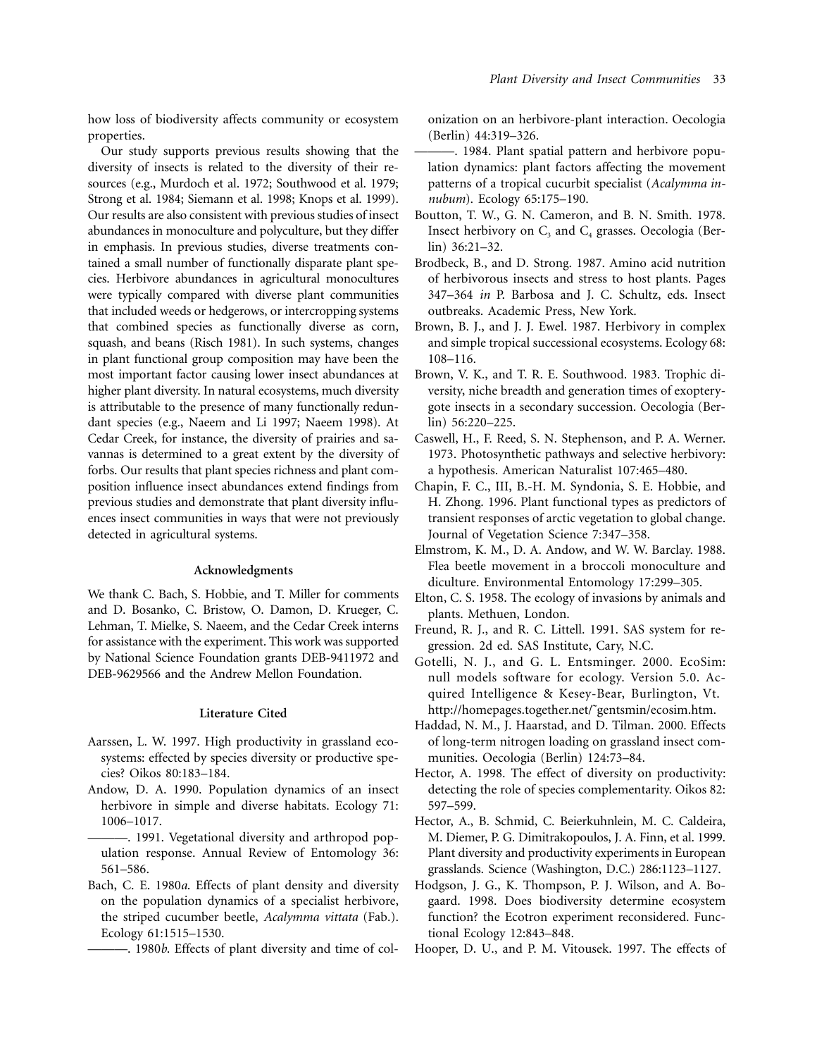how loss of biodiversity affects community or ecosystem properties.

Our study supports previous results showing that the diversity of insects is related to the diversity of their resources (e.g., Murdoch et al. 1972; Southwood et al. 1979; Strong et al. 1984; Siemann et al. 1998; Knops et al. 1999). Our results are also consistent with previous studies of insect abundances in monoculture and polyculture, but they differ in emphasis. In previous studies, diverse treatments contained a small number of functionally disparate plant species. Herbivore abundances in agricultural monocultures were typically compared with diverse plant communities that included weeds or hedgerows, or intercropping systems that combined species as functionally diverse as corn, squash, and beans (Risch 1981). In such systems, changes in plant functional group composition may have been the most important factor causing lower insect abundances at higher plant diversity. In natural ecosystems, much diversity is attributable to the presence of many functionally redundant species (e.g., Naeem and Li 1997; Naeem 1998). At Cedar Creek, for instance, the diversity of prairies and savannas is determined to a great extent by the diversity of forbs. Our results that plant species richness and plant composition influence insect abundances extend findings from previous studies and demonstrate that plant diversity influences insect communities in ways that were not previously detected in agricultural systems.

### **Acknowledgments**

We thank C. Bach, S. Hobbie, and T. Miller for comments and D. Bosanko, C. Bristow, O. Damon, D. Krueger, C. Lehman, T. Mielke, S. Naeem, and the Cedar Creek interns for assistance with the experiment. This work was supported by National Science Foundation grants DEB-9411972 and DEB-9629566 and the Andrew Mellon Foundation.

#### **Literature Cited**

- Aarssen, L. W. 1997. High productivity in grassland ecosystems: effected by species diversity or productive species? Oikos 80:183–184.
- Andow, D. A. 1990. Population dynamics of an insect herbivore in simple and diverse habitats. Ecology 71: 1006–1017.
- ———. 1991. Vegetational diversity and arthropod population response. Annual Review of Entomology 36: 561–586.
- Bach, C. E. 1980*a*. Effects of plant density and diversity on the population dynamics of a specialist herbivore, the striped cucumber beetle, *Acalymma vittata* (Fab.). Ecology 61:1515–1530.

———. 1980*b*. Effects of plant diversity and time of col-

onization on an herbivore-plant interaction. Oecologia (Berlin) 44:319–326.

- ———. 1984. Plant spatial pattern and herbivore population dynamics: plant factors affecting the movement patterns of a tropical cucurbit specialist (*Acalymma innubum*). Ecology 65:175–190.
- Boutton, T. W., G. N. Cameron, and B. N. Smith. 1978. Insect herbivory on  $C_3$  and  $C_4$  grasses. Oecologia (Berlin) 36:21–32.
- Brodbeck, B., and D. Strong. 1987. Amino acid nutrition of herbivorous insects and stress to host plants. Pages 347–364 *in* P. Barbosa and J. C. Schultz, eds. Insect outbreaks. Academic Press, New York.
- Brown, B. J., and J. J. Ewel. 1987. Herbivory in complex and simple tropical successional ecosystems. Ecology 68: 108–116.
- Brown, V. K., and T. R. E. Southwood. 1983. Trophic diversity, niche breadth and generation times of exopterygote insects in a secondary succession. Oecologia (Berlin) 56:220–225.
- Caswell, H., F. Reed, S. N. Stephenson, and P. A. Werner. 1973. Photosynthetic pathways and selective herbivory: a hypothesis. American Naturalist 107:465–480.
- Chapin, F. C., III, B.-H. M. Syndonia, S. E. Hobbie, and H. Zhong. 1996. Plant functional types as predictors of transient responses of arctic vegetation to global change. Journal of Vegetation Science 7:347–358.
- Elmstrom, K. M., D. A. Andow, and W. W. Barclay. 1988. Flea beetle movement in a broccoli monoculture and diculture. Environmental Entomology 17:299–305.
- Elton, C. S. 1958. The ecology of invasions by animals and plants. Methuen, London.
- Freund, R. J., and R. C. Littell. 1991. SAS system for regression. 2d ed. SAS Institute, Cary, N.C.
- Gotelli, N. J., and G. L. Entsminger. 2000. EcoSim: null models software for ecology. Version 5.0. Acquired Intelligence & Kesey-Bear, Burlington, Vt. http://homepages.together.net/˜gentsmin/ecosim.htm.
- Haddad, N. M., J. Haarstad, and D. Tilman. 2000. Effects of long-term nitrogen loading on grassland insect communities. Oecologia (Berlin) 124:73–84.
- Hector, A. 1998. The effect of diversity on productivity: detecting the role of species complementarity. Oikos 82: 597–599.
- Hector, A., B. Schmid, C. Beierkuhnlein, M. C. Caldeira, M. Diemer, P. G. Dimitrakopoulos, J. A. Finn, et al. 1999. Plant diversity and productivity experiments in European grasslands. Science (Washington, D.C.) 286:1123–1127.
- Hodgson, J. G., K. Thompson, P. J. Wilson, and A. Bogaard. 1998. Does biodiversity determine ecosystem function? the Ecotron experiment reconsidered. Functional Ecology 12:843–848.
- Hooper, D. U., and P. M. Vitousek. 1997. The effects of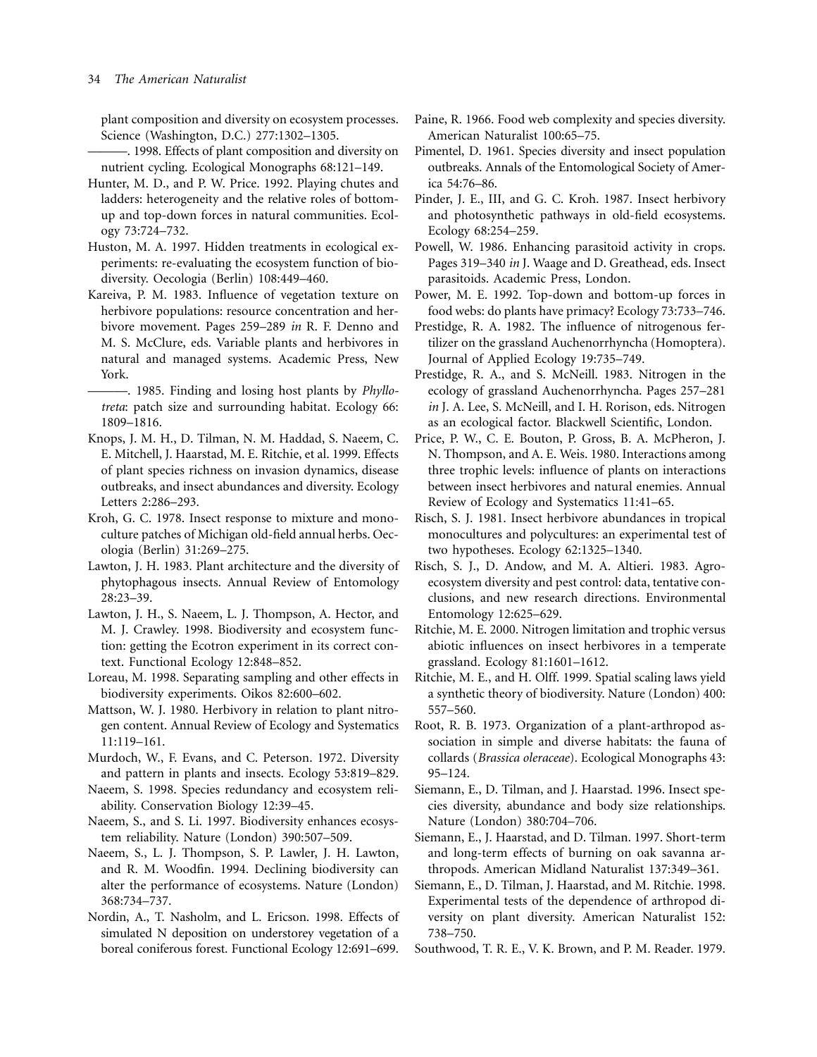plant composition and diversity on ecosystem processes. Science (Washington, D.C.) 277:1302–1305.

- ———. 1998. Effects of plant composition and diversity on nutrient cycling. Ecological Monographs 68:121–149.
- Hunter, M. D., and P. W. Price. 1992. Playing chutes and ladders: heterogeneity and the relative roles of bottomup and top-down forces in natural communities. Ecology 73:724–732.
- Huston, M. A. 1997. Hidden treatments in ecological experiments: re-evaluating the ecosystem function of biodiversity. Oecologia (Berlin) 108:449–460.
- Kareiva, P. M. 1983. Influence of vegetation texture on herbivore populations: resource concentration and herbivore movement. Pages 259–289 *in* R. F. Denno and M. S. McClure, eds. Variable plants and herbivores in natural and managed systems. Academic Press, New York.

-. 1985. Finding and losing host plants by *Phyllotreta*: patch size and surrounding habitat. Ecology 66: 1809–1816.

- Knops, J. M. H., D. Tilman, N. M. Haddad, S. Naeem, C. E. Mitchell, J. Haarstad, M. E. Ritchie, et al. 1999. Effects of plant species richness on invasion dynamics, disease outbreaks, and insect abundances and diversity. Ecology Letters 2:286–293.
- Kroh, G. C. 1978. Insect response to mixture and monoculture patches of Michigan old-field annual herbs. Oecologia (Berlin) 31:269–275.
- Lawton, J. H. 1983. Plant architecture and the diversity of phytophagous insects. Annual Review of Entomology 28:23–39.
- Lawton, J. H., S. Naeem, L. J. Thompson, A. Hector, and M. J. Crawley. 1998. Biodiversity and ecosystem function: getting the Ecotron experiment in its correct context. Functional Ecology 12:848–852.
- Loreau, M. 1998. Separating sampling and other effects in biodiversity experiments. Oikos 82:600–602.
- Mattson, W. J. 1980. Herbivory in relation to plant nitrogen content. Annual Review of Ecology and Systematics 11:119–161.
- Murdoch, W., F. Evans, and C. Peterson. 1972. Diversity and pattern in plants and insects. Ecology 53:819–829.
- Naeem, S. 1998. Species redundancy and ecosystem reliability. Conservation Biology 12:39–45.
- Naeem, S., and S. Li. 1997. Biodiversity enhances ecosystem reliability. Nature (London) 390:507–509.
- Naeem, S., L. J. Thompson, S. P. Lawler, J. H. Lawton, and R. M. Woodfin. 1994. Declining biodiversity can alter the performance of ecosystems. Nature (London) 368:734–737.
- Nordin, A., T. Nasholm, and L. Ericson. 1998. Effects of simulated N deposition on understorey vegetation of a boreal coniferous forest. Functional Ecology 12:691–699.
- Paine, R. 1966. Food web complexity and species diversity. American Naturalist 100:65–75.
- Pimentel, D. 1961. Species diversity and insect population outbreaks. Annals of the Entomological Society of America 54:76–86.
- Pinder, J. E., III, and G. C. Kroh. 1987. Insect herbivory and photosynthetic pathways in old-field ecosystems. Ecology 68:254–259.
- Powell, W. 1986. Enhancing parasitoid activity in crops. Pages 319–340 *in* J. Waage and D. Greathead, eds. Insect parasitoids. Academic Press, London.
- Power, M. E. 1992. Top-down and bottom-up forces in food webs: do plants have primacy? Ecology 73:733–746.
- Prestidge, R. A. 1982. The influence of nitrogenous fertilizer on the grassland Auchenorrhyncha (Homoptera). Journal of Applied Ecology 19:735–749.
- Prestidge, R. A., and S. McNeill. 1983. Nitrogen in the ecology of grassland Auchenorrhyncha. Pages 257–281 *in* J. A. Lee, S. McNeill, and I. H. Rorison, eds. Nitrogen as an ecological factor. Blackwell Scientific, London.
- Price, P. W., C. E. Bouton, P. Gross, B. A. McPheron, J. N. Thompson, and A. E. Weis. 1980. Interactions among three trophic levels: influence of plants on interactions between insect herbivores and natural enemies. Annual Review of Ecology and Systematics 11:41–65.
- Risch, S. J. 1981. Insect herbivore abundances in tropical monocultures and polycultures: an experimental test of two hypotheses. Ecology 62:1325–1340.
- Risch, S. J., D. Andow, and M. A. Altieri. 1983. Agroecosystem diversity and pest control: data, tentative conclusions, and new research directions. Environmental Entomology 12:625–629.
- Ritchie, M. E. 2000. Nitrogen limitation and trophic versus abiotic influences on insect herbivores in a temperate grassland. Ecology 81:1601–1612.
- Ritchie, M. E., and H. Olff. 1999. Spatial scaling laws yield a synthetic theory of biodiversity. Nature (London) 400: 557–560.
- Root, R. B. 1973. Organization of a plant-arthropod association in simple and diverse habitats: the fauna of collards (*Brassica oleraceae*). Ecological Monographs 43: 95–124.
- Siemann, E., D. Tilman, and J. Haarstad. 1996. Insect species diversity, abundance and body size relationships. Nature (London) 380:704–706.
- Siemann, E., J. Haarstad, and D. Tilman. 1997. Short-term and long-term effects of burning on oak savanna arthropods. American Midland Naturalist 137:349–361.
- Siemann, E., D. Tilman, J. Haarstad, and M. Ritchie. 1998. Experimental tests of the dependence of arthropod diversity on plant diversity. American Naturalist 152: 738–750.
- Southwood, T. R. E., V. K. Brown, and P. M. Reader. 1979.